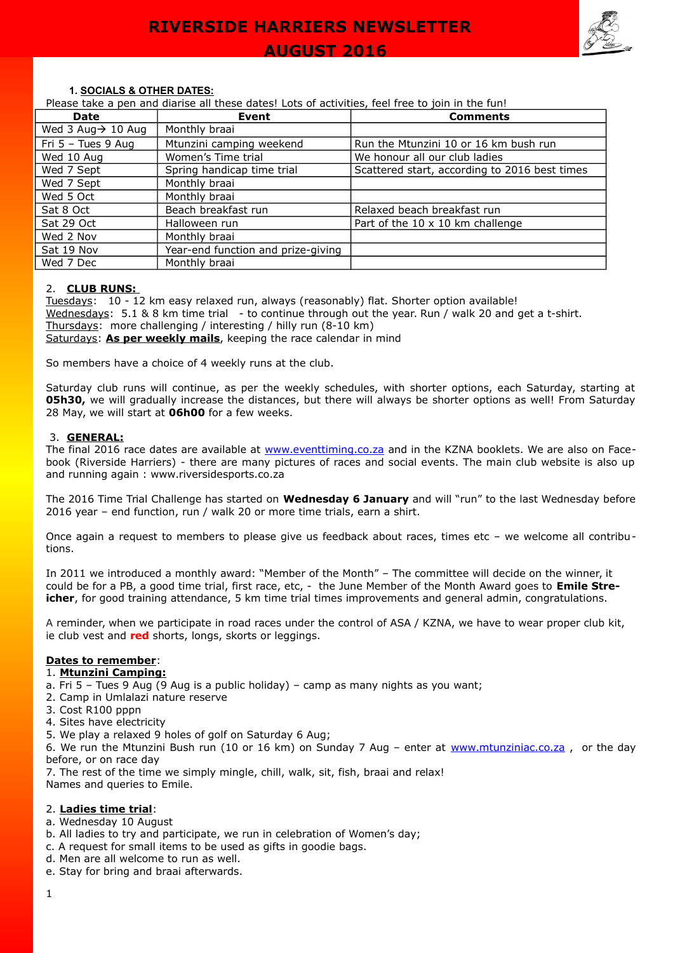

#### **1. SOCIALS & OTHER DATES:**

Please take a pen and diarise all these dates! Lots of activities, feel free to join in the fun!

| Date                           | Event                              | <b>Comments</b>                               |
|--------------------------------|------------------------------------|-----------------------------------------------|
| Wed 3 Aug $\rightarrow$ 10 Aug | Monthly braai                      |                                               |
| Fri $5 -$ Tues 9 Aug           | Mtunzini camping weekend           | Run the Mtunzini 10 or 16 km bush run         |
| Wed 10 Aug                     | Women's Time trial                 | We honour all our club ladies                 |
| Wed 7 Sept                     | Spring handicap time trial         | Scattered start, according to 2016 best times |
| Wed 7 Sept                     | Monthly braai                      |                                               |
| Wed 5 Oct                      | Monthly braai                      |                                               |
| Sat 8 Oct                      | Beach breakfast run                | Relaxed beach breakfast run                   |
| Sat 29 Oct                     | Halloween run                      | Part of the 10 x 10 km challenge              |
| Wed 2 Nov                      | Monthly braai                      |                                               |
| Sat 19 Nov                     | Year-end function and prize-giving |                                               |
| Wed 7 Dec                      | Monthly braai                      |                                               |

#### 2. **CLUB RUNS:**

Tuesdays: 10 - 12 km easy relaxed run, always (reasonably) flat. Shorter option available! Wednesdays: 5.1 & 8 km time trial - to continue through out the year. Run / walk 20 and get a t-shirt. Thursdays: more challenging / interesting / hilly run (8-10 km) Saturdays: **As per weekly mails**, keeping the race calendar in mind

So members have a choice of 4 weekly runs at the club.

Saturday club runs will continue, as per the weekly schedules, with shorter options, each Saturday, starting at **05h30,** we will gradually increase the distances, but there will always be shorter options as well! From Saturday 28 May, we will start at **06h00** for a few weeks.

#### 3. **GENERAL:**

The final 2016 race dates are available at [www.eventtiming.co.za](http://www.eventtiming.co.za/) and in the KZNA booklets. We are also on Facebook (Riverside Harriers) - there are many pictures of races and social events. The main club website is also up and running again : www.riversidesports.co.za

The 2016 Time Trial Challenge has started on **Wednesday 6 January** and will "run" to the last Wednesday before 2016 year – end function, run / walk 20 or more time trials, earn a shirt.

Once again a request to members to please give us feedback about races, times etc – we welcome all contributions.

In 2011 we introduced a monthly award: "Member of the Month" – The committee will decide on the winner, it could be for a PB, a good time trial, first race, etc, - the June Member of the Month Award goes to **Emile Streicher**, for good training attendance, 5 km time trial times improvements and general admin, congratulations.

A reminder, when we participate in road races under the control of ASA / KZNA, we have to wear proper club kit, ie club vest and **red** shorts, longs, skorts or leggings.

### **Dates to remember**:

#### 1. **Mtunzini Camping:**

- a. Fri 5 Tues 9 Aug (9 Aug is a public holiday) camp as many nights as you want;
- 2. Camp in Umlalazi nature reserve
- 3. Cost R100 pppn
- 4. Sites have electricity
- 5. We play a relaxed 9 holes of golf on Saturday 6 Aug;

6. We run the Mtunzini Bush run (10 or 16 km) on Sunday 7 Aug – enter at www.mtunziniac.co.za, or the day before, or on race day

7. The rest of the time we simply mingle, chill, walk, sit, fish, braai and relax!

Names and queries to Emile.

#### 2. **Ladies time trial**:

- a. Wednesday 10 August
- b. All ladies to try and participate, we run in celebration of Women's day;
- c. A request for small items to be used as gifts in goodie bags.
- d. Men are all welcome to run as well.
- e. Stay for bring and braai afterwards.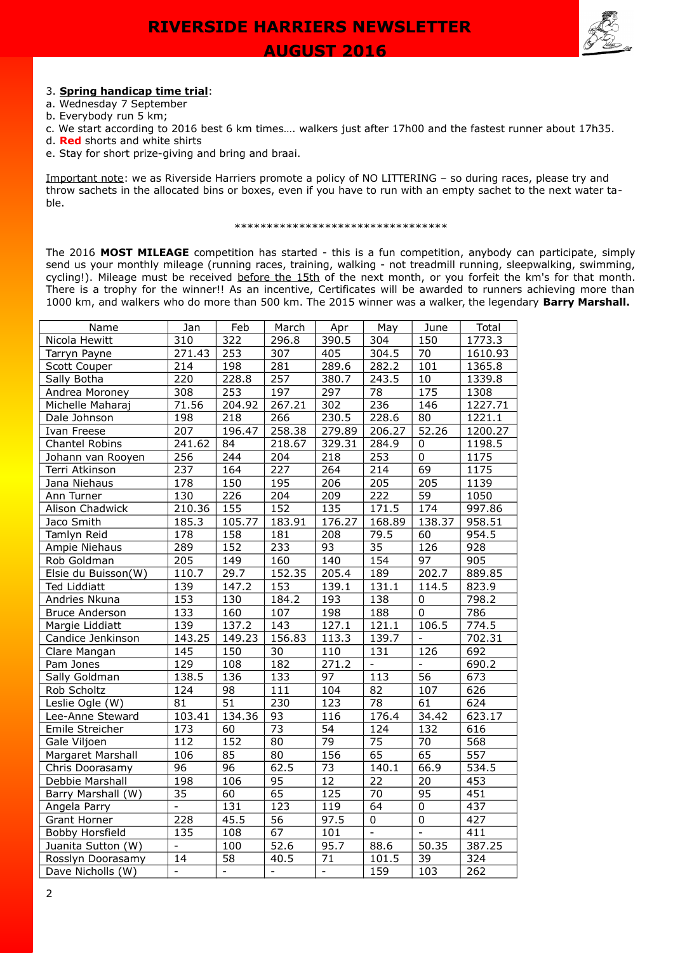



### 3. **Spring handicap time trial**:

- a. Wednesday 7 September
- b. Everybody run 5 km;
- c. We start according to 2016 best 6 km times…. walkers just after 17h00 and the fastest runner about 17h35.
- d. **Red** shorts and white shirts
- e. Stay for short prize-giving and bring and braai.

Important note: we as Riverside Harriers promote a policy of NO LITTERING – so during races, please try and throw sachets in the allocated bins or boxes, even if you have to run with an empty sachet to the next water table.

#### \*\*\*\*\*\*\*\*\*\*\*\*\*\*\*\*\*\*\*\*\*\*\*\*\*\*\*\*\*\*\*\*\*

The 2016 **MOST MILEAGE** competition has started - this is a fun competition, anybody can participate, simply send us your monthly mileage (running races, training, walking - not treadmill running, sleepwalking, swimming, cycling!). Mileage must be received before the 15th of the next month, or you forfeit the km's for that month. There is a trophy for the winner!! As an incentive, Certificates will be awarded to runners achieving more than 1000 km, and walkers who do more than 500 km. The 2015 winner was a walker, the legendary **Barry Marshall.**

| Name                   | Jan              | Feb                      | March             | Apr                      | May              | June                     | Total   |
|------------------------|------------------|--------------------------|-------------------|--------------------------|------------------|--------------------------|---------|
| Nicola Hewitt          | 310              | 322                      | 296.8             | 390.5                    | 304              | 150                      | 1773.3  |
| Tarryn Payne           | 271.43           | 253                      | 307               | 405                      | 304.5            | 70                       | 1610.93 |
| Scott Couper           | 214              | 198                      | 281               | 289.6                    | 282.2            | 101                      | 1365.8  |
| Sally Botha            | 220              | 228.8                    | 257               | 380.7                    | 243.5            | $10\,$                   | 1339.8  |
| Andrea Moroney         | 308              | 253                      | 197               | 297                      | 78               | 175                      | 1308    |
| Michelle Maharaj       | 71.56            | 204.92                   | 267.21            | 302                      | 236              | 146                      | 1227.71 |
| Dale Johnson           | 198              | 218                      | 266               | 230.5                    | 228.6            | 80                       | 1221.1  |
| Ivan Freese            | 207              | 196.47                   | 258.38            | 279.89                   | 206.27           | 52.26                    | 1200.27 |
| Chantel Robins         | 241.62           | 84                       | 218.67            | 329.31                   | 284.9            | $\overline{0}$           | 1198.5  |
| Johann van Rooyen      | 256              | 244                      | 204               | 218                      | 253              | $\mathbf 0$              | 1175    |
| Terri Atkinson         | 237              | 164                      | $\overline{227}$  | 264                      | 214              | 69                       | 1175    |
| Jana Niehaus           | 178              | 150                      | 195               | 206                      | 205              | 205                      | 1139    |
| Ann Turner             | 130              | $\overline{226}$         | $\overline{204}$  | 209                      | $\overline{222}$ | $\overline{59}$          | 1050    |
| Alison Chadwick        | 210.36           | 155                      | 152               | 135                      | 171.5            | 174                      | 997.86  |
| Jaco Smith             | 185.3            | 105.77                   | 183.91            | 176.27                   | 168.89           | 138.37                   | 958.51  |
| Tamlyn Reid            | 178              | 158                      | 181               | 208                      | 79.5             | 60                       | 954.5   |
| Ampie Niehaus          | 289              | 152                      | 233               | 93                       | $\overline{35}$  | 126                      | 928     |
| Rob Goldman            | 205              | 149                      | 160               | 140                      | 154              | 97                       | 905     |
| Elsie du Buisson(W)    | 110.7            | 29.7                     | 152.35            | 205.4                    | 189              | 202.7                    | 889.85  |
| <b>Ted Liddiatt</b>    | 139              | 147.2                    | 153               | 139.1                    | 131.1            | 114.5                    | 823.9   |
| Andries Nkuna          | 153              | 130                      | 184.2             | 193                      | 138              | $\pmb{0}$                | 798.2   |
| <b>Bruce Anderson</b>  | $\overline{133}$ | 160                      | 107               | 198                      | 188              | $\pmb{0}$                | 786     |
| Margie Liddiatt        | 139              | 137.2                    | 143               | 127.1                    | 121.1            | 106.5                    | 774.5   |
| Candice Jenkinson      | 143.25           | 149.23                   | 156.83            | 113.3                    | 139.7            | $\omega$                 | 702.31  |
| Clare Mangan           | 145              | 150                      | 30                | 110                      | 131              | 126                      | 692     |
| Pam Jones              | $\overline{129}$ | 108                      | 182               | 271.2                    | $\Box$           | $\overline{\phantom{a}}$ | 690.2   |
| Sally Goldman          | 138.5            | 136                      | 133               | 97                       | 113              | $\overline{56}$          | 673     |
| Rob Scholtz            | 124              | $\overline{98}$          | 111               | 104                      | 82               | 107                      | 626     |
| Leslie Ogle (W)        | 81               | $\overline{51}$          | 230               | 123                      | 78               | 61                       | 624     |
| Lee-Anne Steward       | 103.41           | 134.36                   | 93                | 116                      | 176.4            | 34.42                    | 623.17  |
| Emile Streicher        | 173              | 60                       | $\overline{73}$   | 54                       | 124              | 132                      | 616     |
| Gale Viljoen           | 112              | 152                      | $\overline{80}$   | 79                       | 75               | 70                       | 568     |
| Margaret Marshall      | 106              | 85                       | 80                | 156                      | 65               | 65                       | 557     |
| Chris Doorasamy        | 96               | $\overline{96}$          | 62.5              | 73                       | 140.1            | 66.9                     | 534.5   |
| Debbie Marshall        | 198              | 106                      | 95                | $\overline{12}$          | $\overline{22}$  | $\overline{20}$          | 453     |
| Barry Marshall (W)     | 35               | 60                       | 65                | 125                      | 70               | 95                       | 451     |
| Angela Parry           | $\equiv$         | 131                      | 123               | 119                      | 64               | $\pmb{0}$                | 437     |
| Grant Horner           | 228              | 45.5                     | $\overline{56}$   | 97.5                     | $\overline{0}$   | $\overline{0}$           | 427     |
| <b>Bobby Horsfield</b> | 135              | 108                      | $\overline{67}$   | 101                      | Ξ                | Ξ                        | 411     |
| Juanita Sutton (W)     | $\blacksquare$   | 100                      | $\overline{52.6}$ | 95.7                     | 88.6             | 50.35                    | 387.25  |
| Rosslyn Doorasamy      | 14               | 58                       | 40.5              | 71                       | 101.5            | 39                       | 324     |
| Dave Nicholls (W)      | $\blacksquare$   | $\overline{\phantom{a}}$ | $\blacksquare$    | $\overline{\phantom{a}}$ | 159              | 103                      | 262     |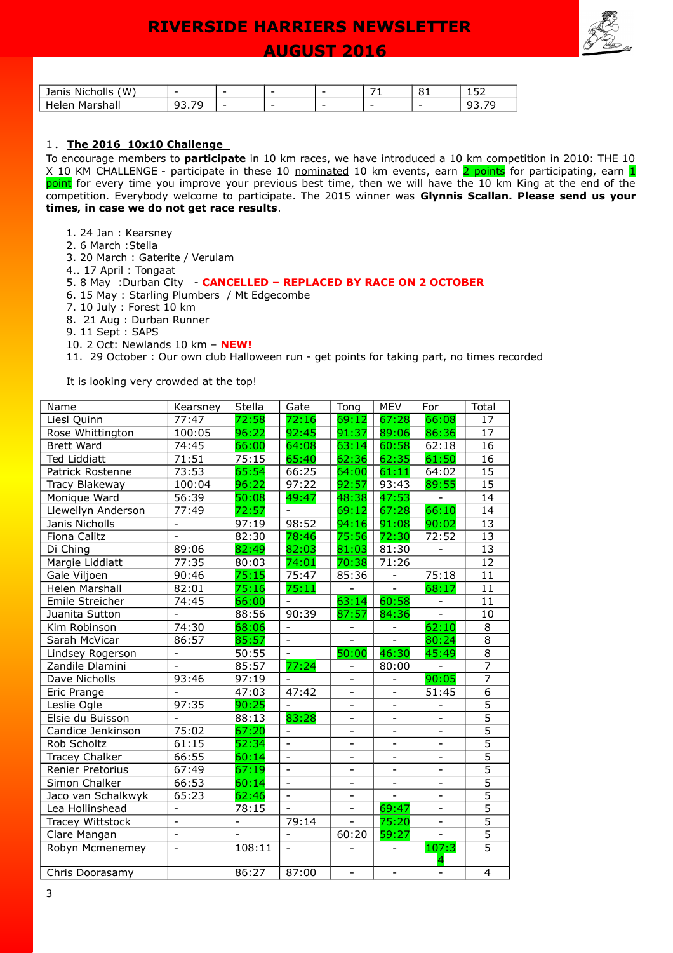

| (M)<br>.<br>lanıs<br>Nich<br>- 10          | - | -                        | - | - | -<br>. . | o-<br>ັ | $ -$<br>--- |
|--------------------------------------------|---|--------------------------|---|---|----------|---------|-------------|
| м,<br>.<br>$\sim$<br>.<br>--<br>ildil<br>ີ | . | $\overline{\phantom{a}}$ | - | - | -        | -       | ----        |

### 1. **The 2016 10x10 Challenge**

To encourage members to **participate** in 10 km races, we have introduced a 10 km competition in 2010: THE 10 X 10 KM CHALLENGE - participate in these 10 nominated 10 km events, earn 2 points for participating, earn 1 point for every time you improve your previous best time, then we will have the 10 km King at the end of the competition. Everybody welcome to participate. The 2015 winner was **Glynnis Scallan. Please send us your times, in case we do not get race results**.

- 1. 24 Jan : Kearsney
- 2. 6 March :Stella
- 3. 20 March : Gaterite / Verulam
- 4.. 17 April : Tongaat 5. 8 May :Durban City - **CANCELLED – REPLACED BY RACE ON 2 OCTOBER**
- 6. 15 May : Starling Plumbers / Mt Edgecombe
- 7. 10 July : Forest 10 km
- 8. 21 Aug : Durban Runner
- 9. 11 Sept : SAPS
- 10. 2 Oct: Newlands 10 km **NEW!**

11. 29 October : Our own club Halloween run - get points for taking part, no times recorded

It is looking very crowded at the top!

| Name                  | Kearsney                 | Stella                   | Gate                     | Tong                     | <b>MEV</b>               | For                          | Total           |
|-----------------------|--------------------------|--------------------------|--------------------------|--------------------------|--------------------------|------------------------------|-----------------|
| Liesl Quinn           | 77:47                    | 72:58                    | 72:16                    | 69:12                    | 67:28                    | 66:08                        | 17              |
| Rose Whittington      | 100:05                   | 96:22                    | 92:45                    | 91:37                    | 89:06                    | 86:36                        | 17              |
| <b>Brett Ward</b>     | 74:45                    | 66:00                    | 64:08                    | 63:14                    | 60:58                    | 62:18                        | 16              |
| <b>Ted Liddiatt</b>   | 71:51                    | 75:15                    | 65:40                    | 62:36                    | 62:35                    | 61:50                        | 16              |
| Patrick Rostenne      | 73:53                    | 65:54                    | 66:25                    | 64:00                    | 61:11                    | 64:02                        | 15              |
| Tracy Blakeway        | 100:04                   | 96:22                    | 97:22                    | 92:57                    | 93:43                    | 89:55                        | $1\overline{5}$ |
| Monique Ward          | 56:39                    | 50:08                    | 49:47                    | 48:38                    | 47:53                    |                              | 14              |
| Llewellyn Anderson    | 77:49                    | 72:57                    |                          | 69:12                    | 67:28                    | 66:10                        | $\overline{14}$ |
| Janis Nicholls        | $\overline{\phantom{0}}$ | 97:19                    | 98:52                    | 94:16                    | 91:08                    | 90:02                        | 13              |
| Fiona Calitz          | $\overline{\phantom{a}}$ | 82:30                    | 78:46                    | 75:56                    | 72:30                    | $\overline{72:52}$           | 13              |
| Di Ching              | 89:06                    | 82:49                    | 82:03                    | 81:03                    | 81:30                    | $\qquad \qquad \blacksquare$ | 13              |
| Margie Liddiatt       | 77:35                    | 80:03                    | 74:01                    | 70:38                    | 71:26                    |                              | 12              |
| Gale Viljoen          | 90:46                    | 75:15                    | 75:47                    | 85:36                    | $\overline{a}$           | 75:18                        | 11              |
| Helen Marshall        | 82:01                    | 75:16                    | 75:11                    |                          | $\overline{a}$           | 68:17                        | 11              |
| Emile Streicher       | 74:45                    | 66:00                    | $\overline{\phantom{a}}$ | 63:14                    | 60:58                    | $\frac{1}{2}$                | 11              |
| Juanita Sutton        | $\overline{a}$           | 88:56                    | 90:39                    | 87:57                    | 84:36                    | $\overline{a}$               | 10              |
| Kim Robinson          | 74:30                    | 68:06                    | $\equiv$                 | $\overline{\phantom{0}}$ |                          | 62:10                        | 8               |
| Sarah McVicar         | 86:57                    | 85:57                    | $\frac{1}{2}$            | $\overline{a}$           |                          | 80:24                        | 8               |
| Lindsey Rogerson      | $\overline{a}$           | 50:55                    | $\overline{\phantom{a}}$ | 50:00                    | 46:30                    | 45:49                        | $\overline{8}$  |
| Zandile Dlamini       |                          | 85:57                    | 77:24                    | $\overline{\phantom{0}}$ | 80:00                    | $\blacksquare$               | $\overline{7}$  |
| Dave Nicholls         | 93:46                    | 97:19                    |                          |                          |                          | 90:05                        | $\overline{7}$  |
| Eric Prange           |                          | 47:03                    | 47:42                    | $\overline{\phantom{0}}$ |                          | 51:45                        | $\overline{6}$  |
| Leslie Ogle           | 97:35                    | 90:25                    |                          | ÷,                       |                          |                              | $\overline{5}$  |
| Elsie du Buisson      |                          | 88:13                    | 83:28                    | $\overline{a}$           |                          | $\overline{a}$               | $\overline{5}$  |
| Candice Jenkinson     | 75:02                    | 67:20                    |                          |                          |                          |                              | $\overline{5}$  |
| Rob Scholtz           | 61:15                    | 52:34                    | $\blacksquare$           |                          |                          |                              | $\overline{5}$  |
| <b>Tracey Chalker</b> | 66:55                    | 60:14                    |                          | $\overline{\phantom{0}}$ |                          | $\overline{\phantom{a}}$     | $\overline{5}$  |
| Renier Pretorius      | 67:49                    | 67:19                    | $\overline{a}$           | $\overline{\phantom{0}}$ |                          | $\blacksquare$               | $\overline{5}$  |
| Simon Chalker         | 66:53                    | 60:14                    | $\blacksquare$           | $\overline{\phantom{0}}$ |                          | $\overline{\phantom{a}}$     | $\overline{5}$  |
| Jaco van Schalkwyk    | 65:23                    | 62:46                    | $\frac{1}{2}$            | ÷,                       | $\overline{\phantom{0}}$ | $\overline{\phantom{a}}$     | $\overline{5}$  |
| Lea Hollinshead       | $\overline{\phantom{a}}$ | 78:15                    |                          | $\overline{a}$           | 69:47                    | $\overline{a}$               | $\overline{5}$  |
| Tracey Wittstock      | $\overline{a}$           | $\overline{\phantom{a}}$ | 79:14                    | $\overline{a}$           | 75:20                    | $\overline{a}$               | $\overline{5}$  |
| Clare Mangan          | $\overline{a}$           | $\blacksquare$           | $\overline{\phantom{0}}$ | 60:20                    | 59:27                    |                              | $\overline{5}$  |
| Robyn Mcmenemey       | $\overline{a}$           | 108:11                   | $\overline{\phantom{a}}$ |                          |                          | 107:3                        | $\overline{5}$  |
| Chris Doorasamy       |                          | 86:27                    | 87:00                    | $\overline{\phantom{a}}$ |                          |                              | $\overline{4}$  |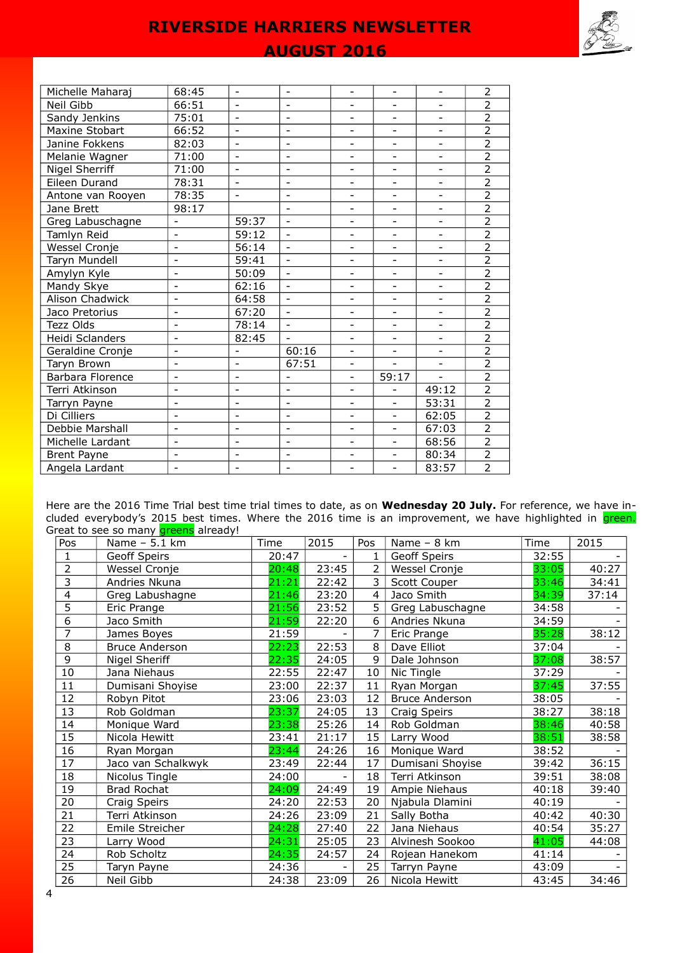

| Michelle Maharaj   | 68:45                    | $\blacksquare$           | $\blacksquare$           | $\overline{\phantom{0}}$ | $\overline{\phantom{0}}$ | $\overline{\phantom{0}}$ | $\overline{2}$ |
|--------------------|--------------------------|--------------------------|--------------------------|--------------------------|--------------------------|--------------------------|----------------|
| Neil Gibb          | 66:51                    | $\overline{\phantom{a}}$ | $\blacksquare$           | -                        |                          | $\overline{\phantom{a}}$ | $\overline{2}$ |
| Sandy Jenkins      | 75:01                    | $\overline{\phantom{a}}$ | $\blacksquare$           | $\overline{\phantom{0}}$ | $\overline{\phantom{0}}$ | -                        | $\overline{2}$ |
| Maxine Stobart     | 66:52                    |                          |                          | -                        |                          | -                        | $\overline{2}$ |
| Janine Fokkens     | 82:03                    | $\overline{\phantom{0}}$ |                          | $\overline{\phantom{0}}$ |                          | $\overline{\phantom{0}}$ | $\overline{2}$ |
| Melanie Wagner     | 71:00                    | $\overline{\phantom{0}}$ | $\overline{\phantom{a}}$ | $\overline{\phantom{0}}$ |                          | $\overline{\phantom{0}}$ | $\overline{2}$ |
| Nigel Sherriff     | 71:00                    | $\overline{\phantom{0}}$ | $\overline{\phantom{a}}$ | $\overline{\phantom{0}}$ | $\overline{\phantom{a}}$ | $\overline{\phantom{a}}$ | $\overline{2}$ |
| Eileen Durand      | 78:31                    |                          |                          |                          |                          | $\overline{\phantom{0}}$ | $\overline{2}$ |
| Antone van Rooyen  | 78:35                    | $\overline{\phantom{a}}$ | $\overline{\phantom{a}}$ | L,                       | $\overline{\phantom{a}}$ | $\overline{\phantom{0}}$ | $\overline{2}$ |
| Jane Brett         | 98:17                    |                          | $\blacksquare$           | $\overline{\phantom{0}}$ | $\overline{\phantom{0}}$ | $\overline{\phantom{a}}$ | $\overline{2}$ |
| Greg Labuschagne   | $\overline{\phantom{0}}$ | 59:37                    | $\blacksquare$           | $\overline{\phantom{0}}$ | $\overline{\phantom{a}}$ | $\blacksquare$           | $\overline{2}$ |
| Tamlyn Reid        | $\overline{\phantom{0}}$ | 59:12                    | $\blacksquare$           |                          |                          |                          | $\overline{2}$ |
| Wessel Cronje      | $\blacksquare$           | 56:14                    | $\blacksquare$           | $\overline{\phantom{0}}$ | $\blacksquare$           | $\blacksquare$           | $\overline{2}$ |
| Taryn Mundell      | $\overline{a}$           | 59:41                    | $\equiv$                 | $\overline{\phantom{0}}$ | $\overline{a}$           | $\overline{\phantom{a}}$ | $\overline{2}$ |
| Amylyn Kyle        | -                        | 50:09                    | $\blacksquare$           | $\overline{\phantom{0}}$ | $\overline{\phantom{0}}$ | $\overline{\phantom{a}}$ | $\overline{2}$ |
| Mandy Skye         | $\overline{\phantom{0}}$ | 62:16                    | $\blacksquare$           | ۰                        | $\overline{\phantom{0}}$ | $\overline{\phantom{0}}$ | $\overline{2}$ |
| Alison Chadwick    | $\overline{\phantom{0}}$ | 64:58                    | $\blacksquare$           | $\overline{\phantom{0}}$ | $\overline{\phantom{a}}$ | $\overline{\phantom{0}}$ | $\overline{2}$ |
| Jaco Pretorius     | $\overline{\phantom{0}}$ | 67:20                    | $\blacksquare$           | $\overline{\phantom{0}}$ |                          | $\overline{\phantom{0}}$ | $\overline{2}$ |
| Tezz Olds          | $\overline{\phantom{0}}$ | 78:14                    | $\overline{\phantom{a}}$ | ÷,                       | $\overline{\phantom{a}}$ | $\frac{1}{2}$            | $\overline{2}$ |
| Heidi Sclanders    | $\overline{\phantom{0}}$ | 82:45                    | $\blacksquare$           | $\overline{\phantom{0}}$ | $\overline{\phantom{a}}$ | $\overline{\phantom{a}}$ | $\overline{2}$ |
| Geraldine Cronje   | $\overline{\phantom{0}}$ | $\qquad \qquad -$        | 60:16                    | ÷,                       | $\overline{\phantom{a}}$ | $\overline{\phantom{0}}$ | $\overline{2}$ |
| Taryn Brown        | $\overline{\phantom{0}}$ | $\overline{\phantom{0}}$ | 67:51                    | L,                       | $\overline{a}$           | $\blacksquare$           | $\overline{2}$ |
| Barbara Florence   | $\overline{\phantom{0}}$ | $\overline{\phantom{0}}$ |                          | $\overline{\phantom{0}}$ | 59:17                    |                          | $\overline{2}$ |
| Terri Atkinson     | $\overline{\phantom{0}}$ | $\overline{\phantom{0}}$ |                          | $\overline{\phantom{0}}$ |                          | 49:12                    | $\overline{2}$ |
| Tarryn Payne       | $\overline{\phantom{0}}$ | $\overline{\phantom{0}}$ | $\overline{\phantom{a}}$ | $\overline{\phantom{0}}$ | $\overline{\phantom{a}}$ | 53:31                    | $\overline{2}$ |
| Di Cilliers        | $\overline{\phantom{0}}$ | $\overline{\phantom{0}}$ | $\blacksquare$           | Ξ.                       | $\overline{\phantom{0}}$ | 62:05                    | $\overline{2}$ |
| Debbie Marshall    | $\overline{\phantom{0}}$ | $\overline{\phantom{0}}$ | $\blacksquare$           | $\overline{\phantom{0}}$ | $\overline{\phantom{a}}$ | 67:03                    | $\overline{2}$ |
| Michelle Lardant   | $\overline{\phantom{0}}$ | $\overline{\phantom{a}}$ | $\overline{\phantom{a}}$ | $\overline{\phantom{0}}$ | $\overline{\phantom{a}}$ | 68:56                    | $\overline{2}$ |
| <b>Brent Payne</b> |                          | $\overline{\phantom{0}}$ | $\overline{\phantom{a}}$ | ÷,                       | $\overline{\phantom{0}}$ | 80:34                    | $\overline{2}$ |
| Angela Lardant     | $\overline{\phantom{0}}$ | $\overline{\phantom{a}}$ | $\overline{\phantom{a}}$ | $\overline{\phantom{0}}$ | $\equiv$                 | 83:57                    | $\overline{2}$ |

Here are the 2016 Time Trial best time trial times to date, as on **Wednesday 20 July.** For reference, we have included everybody's 2015 best times. Where the 2016 time is an improvement, we have highlighted in <mark>green.</mark> Great to see so many **greens** already!

| Pos             | Name - 5.1 km         | Time  | 2015  | Pos             | Name - 8 km           | Time  | 2015  |
|-----------------|-----------------------|-------|-------|-----------------|-----------------------|-------|-------|
| 1               | Geoff Speirs          | 20:47 |       | $\mathbf{1}$    | Geoff Speirs          | 32:55 |       |
| 2               | Wessel Cronje         | 20:48 | 23:45 | $\overline{2}$  | Wessel Cronje         | 33:05 | 40:27 |
| 3               | Andries Nkuna         | 21:21 | 22:42 | 3               | Scott Couper          | 33:46 | 34:41 |
| 4               | Greg Labushagne       | 21:46 | 23:20 | $\overline{4}$  | Jaco Smith            | 34:39 | 37:14 |
| 5               | Eric Prange           | 21:56 | 23:52 | 5               | Greg Labuschagne      | 34:58 |       |
| $\overline{6}$  | Jaco Smith            | 21:59 | 22:20 | 6               | Andries Nkuna         | 34:59 |       |
| 7               | James Boyes           | 21:59 |       | 7               | Eric Prange           | 35:28 | 38:12 |
| 8               | <b>Bruce Anderson</b> | 22:23 | 22:53 | 8               | Dave Elliot           | 37:04 |       |
| $\overline{9}$  | Nigel Sheriff         | 22:35 | 24:05 | 9               | Dale Johnson          | 37:08 | 38:57 |
| 10              | Jana Niehaus          | 22:55 | 22:47 | 10              | Nic Tingle            | 37:29 |       |
| 11              | Dumisani Shoyise      | 23:00 | 22:37 | 11              | Ryan Morgan           | 37:45 | 37:55 |
| 12              | Robyn Pitot           | 23:06 | 23:03 | 12              | <b>Bruce Anderson</b> | 38:05 |       |
| 13              | Rob Goldman           | 23:37 | 24:05 | 13              | Craig Speirs          | 38:27 | 38:18 |
| 14              | Monique Ward          | 23:38 | 25:26 | 14              | Rob Goldman           | 38:46 | 40:58 |
| 15              | Nicola Hewitt         | 23:41 | 21:17 | 15              | Larry Wood            | 38:51 | 38:58 |
| 16              | Ryan Morgan           | 23:44 | 24:26 | 16              | Monique Ward          | 38:52 |       |
| 17              | Jaco van Schalkwyk    | 23:49 | 22:44 | 17              | Dumisani Shoyise      | 39:42 | 36:15 |
| 18              | Nicolus Tingle        | 24:00 |       | 18              | Terri Atkinson        | 39:51 | 38:08 |
| 19              | Brad Rochat           | 24:09 | 24:49 | 19              | Ampie Niehaus         | 40:18 | 39:40 |
| 20              | Craig Speirs          | 24:20 | 22:53 | 20              | Njabula Dlamini       | 40:19 |       |
| $\overline{21}$ | Terri Atkinson        | 24:26 | 23:09 | $\overline{21}$ | Sally Botha           | 40:42 | 40:30 |
| 22              | Emile Streicher       | 24:28 | 27:40 | 22              | Jana Niehaus          | 40:54 | 35:27 |
| 23              | Larry Wood            | 24:31 | 25:05 | 23              | Alvinesh Sookoo       | 41:05 | 44:08 |
| 24              | Rob Scholtz           | 24:35 | 24:57 | 24              | Rojean Hanekom        | 41:14 |       |
| 25              | Taryn Payne           | 24:36 |       | 25              | Tarryn Payne          | 43:09 |       |
| 26              | Neil Gibb             | 24:38 | 23:09 | 26              | Nicola Hewitt         | 43:45 | 34:46 |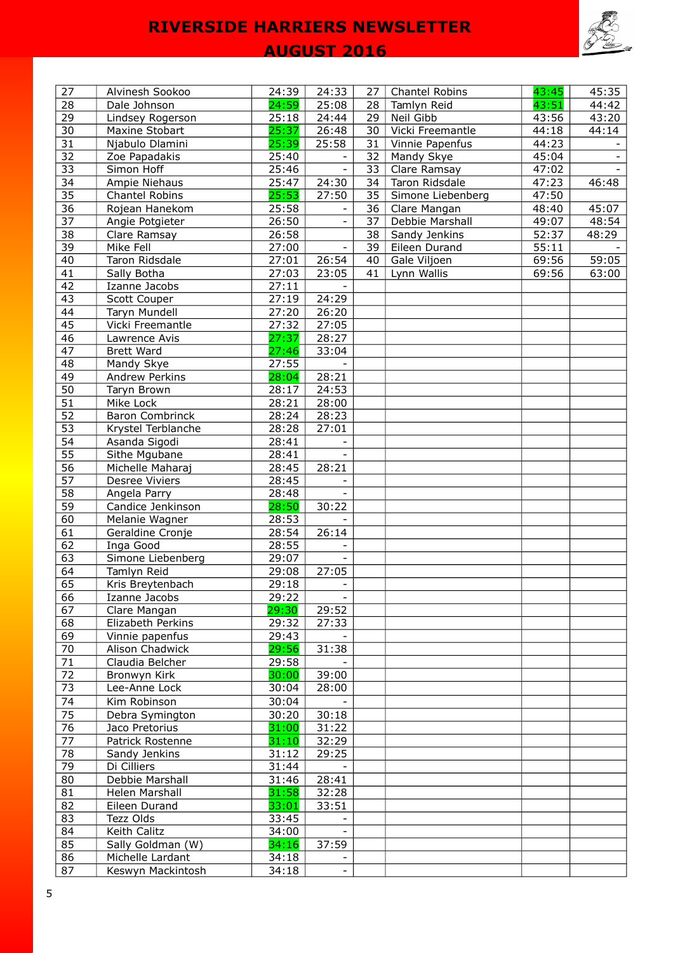

## **AUGUST 2016**

| 27              | Alvinesh Sookoo        | 24:39 | 24:33                    | 27 | Chantel Robins    | 43:45 | 45:35                    |
|-----------------|------------------------|-------|--------------------------|----|-------------------|-------|--------------------------|
| 28              | Dale Johnson           | 24:59 | 25:08                    | 28 | Tamlyn Reid       | 43:51 | 44:42                    |
| 29              | Lindsey Rogerson       | 25:18 | 24:44                    | 29 | Neil Gibb         | 43:56 | 43:20                    |
| 30              | Maxine Stobart         | 25:37 | 26:48                    | 30 | Vicki Freemantle  | 44:18 | 44:14                    |
| $\overline{31}$ | Njabulo Dlamini        | 25:39 | 25:58                    | 31 | Vinnie Papenfus   | 44:23 |                          |
| 32              | Zoe Papadakis          | 25:40 |                          | 32 | Mandy Skye        | 45:04 | $\overline{\phantom{a}}$ |
| 33              | Simon Hoff             | 25:46 | $\overline{\phantom{a}}$ | 33 | Clare Ramsay      | 47:02 | $\overline{\phantom{0}}$ |
| 34              | Ampie Niehaus          | 25:47 | 24:30                    | 34 | Taron Ridsdale    | 47:23 | 46:48                    |
| $\overline{35}$ | Chantel Robins         | 25:53 | 27:50                    | 35 | Simone Liebenberg | 47:50 |                          |
| 36              | Rojean Hanekom         | 25:58 |                          | 36 | Clare Mangan      | 48:40 | 45:07                    |
| 37              | Angie Potgieter        | 26:50 | $\overline{\phantom{a}}$ | 37 | Debbie Marshall   | 49:07 | 48:54                    |
| $\overline{38}$ | Clare Ramsay           | 26:58 |                          | 38 | Sandy Jenkins     | 52:37 | 48:29                    |
| 39              | Mike Fell              | 27:00 |                          | 39 | Eileen Durand     | 55:11 |                          |
| 40              | Taron Ridsdale         | 27:01 | 26:54                    | 40 | Gale Viljoen      | 69:56 | 59:05                    |
| 41              | Sally Botha            | 27:03 | 23:05                    | 41 | Lynn Wallis       | 69:56 | 63:00                    |
| 42              | Izanne Jacobs          | 27:11 |                          |    |                   |       |                          |
| 43              | Scott Couper           | 27:19 | 24:29                    |    |                   |       |                          |
| 44              | Taryn Mundell          | 27:20 | 26:20                    |    |                   |       |                          |
| 45              | Vicki Freemantle       | 27:32 | 27:05                    |    |                   |       |                          |
| 46              | Lawrence Avis          | 27:37 | 28:27                    |    |                   |       |                          |
| 47              | <b>Brett Ward</b>      | 27:46 | 33:04                    |    |                   |       |                          |
| 48              | Mandy Skye             | 27:55 |                          |    |                   |       |                          |
| 49              | <b>Andrew Perkins</b>  | 28:04 | 28:21                    |    |                   |       |                          |
| 50              | Taryn Brown            | 28:17 | 24:53                    |    |                   |       |                          |
| 51              | Mike Lock              | 28:21 | 28:00                    |    |                   |       |                          |
| 52              | <b>Baron Combrinck</b> | 28:24 | 28:23                    |    |                   |       |                          |
| $\overline{53}$ |                        |       |                          |    |                   |       |                          |
| 54              | Krystel Terblanche     | 28:28 | 27:01<br>$\blacksquare$  |    |                   |       |                          |
|                 | Asanda Sigodi          | 28:41 |                          |    |                   |       |                          |
| 55              | Sithe Mgubane          | 28:41 |                          |    |                   |       |                          |
| 56              | Michelle Maharaj       | 28:45 | 28:21                    |    |                   |       |                          |
| 57              | Desree Viviers         | 28:45 |                          |    |                   |       |                          |
| 58              | Angela Parry           | 28:48 |                          |    |                   |       |                          |
| 59              | Candice Jenkinson      | 28:50 | 30:22                    |    |                   |       |                          |
| 60              | Melanie Wagner         | 28:53 |                          |    |                   |       |                          |
| 61              | Geraldine Cronje       | 28:54 | 26:14                    |    |                   |       |                          |
| 62              | Inga Good              | 28:55 |                          |    |                   |       |                          |
| 63              | Simone Liebenberg      | 29:07 |                          |    |                   |       |                          |
| 64              | Tamlyn Reid            | 29:08 | 27:05                    |    |                   |       |                          |
| 65              | Kris Breytenbach       | 29:18 | $\overline{\phantom{a}}$ |    |                   |       |                          |
| 66              | Izanne Jacobs          | 29:22 |                          |    |                   |       |                          |
| 67              | Clare Mangan           | 29:30 | 29:52                    |    |                   |       |                          |
| 68              | Elizabeth Perkins      | 29:32 | 27:33                    |    |                   |       |                          |
| 69              | Vinnie papenfus        | 29:43 |                          |    |                   |       |                          |
| 70              | Alison Chadwick        | 29:56 | 31:38                    |    |                   |       |                          |
| $\overline{71}$ | Claudia Belcher        | 29:58 |                          |    |                   |       |                          |
| 72              | Bronwyn Kirk           | 30:00 | 39:00                    |    |                   |       |                          |
| 73              | Lee-Anne Lock          | 30:04 | 28:00                    |    |                   |       |                          |
| 74              | Kim Robinson           | 30:04 |                          |    |                   |       |                          |
| 75              | Debra Symington        | 30:20 | 30:18                    |    |                   |       |                          |
| 76              | Jaco Pretorius         | 31:00 | 31:22                    |    |                   |       |                          |
| 77              | Patrick Rostenne       | 31:10 | 32:29                    |    |                   |       |                          |
| 78              | Sandy Jenkins          | 31:12 | 29:25                    |    |                   |       |                          |
| 79              | Di Cilliers            | 31:44 |                          |    |                   |       |                          |
| 80              | Debbie Marshall        | 31:46 | 28:41                    |    |                   |       |                          |
| 81              | Helen Marshall         | 31:58 | 32:28                    |    |                   |       |                          |
| 82              | Eileen Durand          | 33:01 | 33:51                    |    |                   |       |                          |
| 83              | Tezz Olds              | 33:45 |                          |    |                   |       |                          |
| 84              | Keith Calitz           | 34:00 |                          |    |                   |       |                          |
| 85              | Sally Goldman (W)      | 34:16 | 37:59                    |    |                   |       |                          |
| 86              | Michelle Lardant       | 34:18 |                          |    |                   |       |                          |
| 87              | Keswyn Mackintosh      | 34:18 | $\overline{\phantom{0}}$ |    |                   |       |                          |
|                 |                        |       |                          |    |                   |       |                          |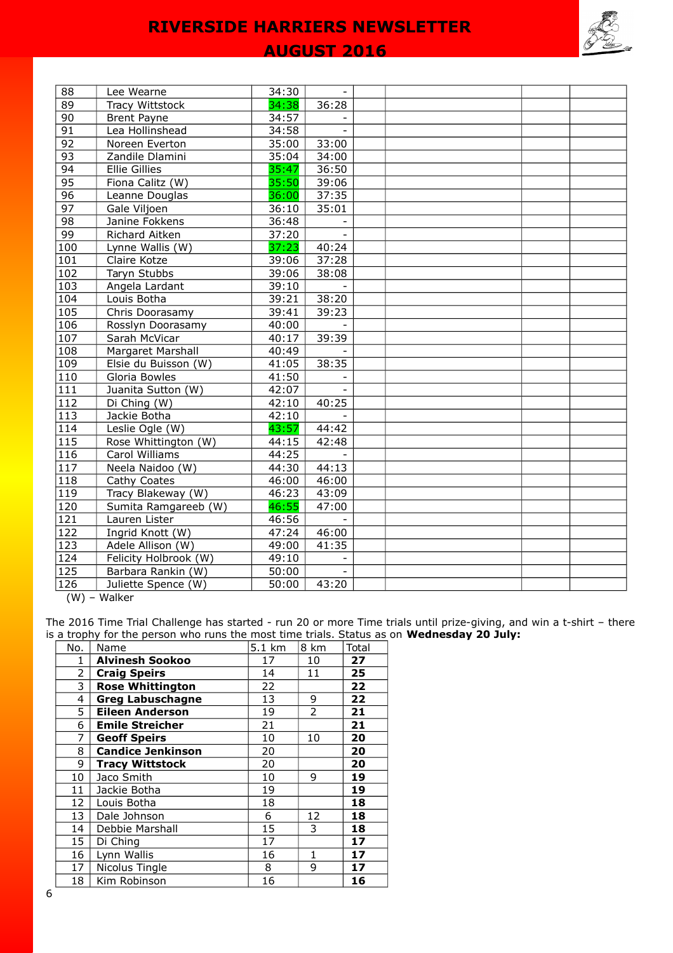

### **AUGUST 2016**

| 88               | Lee Wearne             | 34:30 |              |  |  |  |
|------------------|------------------------|-------|--------------|--|--|--|
| 89               | <b>Tracy Wittstock</b> | 34:38 | 36:28        |  |  |  |
| 90               | <b>Brent Payne</b>     | 34:57 |              |  |  |  |
| 91               | Lea Hollinshead        | 34:58 | $\mathbf{r}$ |  |  |  |
| $\overline{92}$  | Noreen Everton         | 35:00 | 33:00        |  |  |  |
| 93               | Zandile Dlamini        | 35:04 | 34:00        |  |  |  |
| 94               | <b>Ellie Gillies</b>   | 35:47 | 36:50        |  |  |  |
| 95               | Fiona Calitz (W)       | 35:50 | 39:06        |  |  |  |
| 96               | Leanne Douglas         | 36:00 | 37:35        |  |  |  |
| 97               | Gale Viljoen           | 36:10 | 35:01        |  |  |  |
| 98               | Janine Fokkens         | 36:48 |              |  |  |  |
| 99               | Richard Aitken         | 37:20 |              |  |  |  |
| 100              | Lynne Wallis (W)       | 37:23 | 40:24        |  |  |  |
| 101              | Claire Kotze           | 39:06 | 37:28        |  |  |  |
| 102              | Taryn Stubbs           | 39:06 | 38:08        |  |  |  |
| 103              | Angela Lardant         | 39:10 |              |  |  |  |
| 104              | Louis Botha            | 39:21 | 38:20        |  |  |  |
| 105              | Chris Doorasamy        | 39:41 | 39:23        |  |  |  |
| 106              | Rosslyn Doorasamy      | 40:00 |              |  |  |  |
| 107              | Sarah McVicar          | 40:17 | 39:39        |  |  |  |
| 108              | Margaret Marshall      | 40:49 |              |  |  |  |
| 109              | Elsie du Buisson (W)   | 41:05 | 38:35        |  |  |  |
| 110              | Gloria Bowles          | 41:50 |              |  |  |  |
| 111              | Juanita Sutton (W)     | 42:07 |              |  |  |  |
| $\overline{112}$ | Di Ching (W)           | 42:10 | 40:25        |  |  |  |
| 113              | Jackie Botha           | 42:10 |              |  |  |  |
| 114              | Leslie Ogle (W)        | 43:57 | 44:42        |  |  |  |
| $115$            | Rose Whittington (W)   | 44:15 | 42:48        |  |  |  |
| 116              | Carol Williams         | 44:25 | $\mathbf{r}$ |  |  |  |
| 117              | Neela Naidoo (W)       | 44:30 | 44:13        |  |  |  |
| 118              | Cathy Coates           | 46:00 | 46:00        |  |  |  |
| 119              | Tracy Blakeway (W)     | 46:23 | 43:09        |  |  |  |
| 120              | Sumita Ramgareeb (W)   | 46:55 | 47:00        |  |  |  |
| 121              | Lauren Lister          | 46:56 |              |  |  |  |
| 122              | Ingrid Knott (W)       | 47:24 | 46:00        |  |  |  |
| 123              | Adele Allison (W)      | 49:00 | 41:35        |  |  |  |
| 124              | Felicity Holbrook (W)  | 49:10 |              |  |  |  |
| 125              | Barbara Rankin (W)     | 50:00 |              |  |  |  |
| 126              | Juliette Spence (W)    | 50:00 | 43:20        |  |  |  |

(W) – Walker

The 2016 Time Trial Challenge has started - run 20 or more Time trials until prize-giving, and win a t-shirt – there is a trophy for the person who runs the most time trials. Status as on **Wednesday 20 July:**

| No.             | Name                     | 5.1 km | 8 km | Total |
|-----------------|--------------------------|--------|------|-------|
| 1               | <b>Alvinesh Sookoo</b>   | 17     | 10   | 27    |
| 2               | <b>Craig Speirs</b>      | 14     | 11   | 25    |
| 3               | <b>Rose Whittington</b>  | 22     |      | 22    |
| 4               | <b>Greg Labuschagne</b>  | 13     | 9    | 22    |
| 5               | <b>Eileen Anderson</b>   | 19     | 2    | 21    |
| 6               | <b>Emile Streicher</b>   | 21     |      | 21    |
| 7               | <b>Geoff Speirs</b>      | 10     | 10   | 20    |
| 8               | <b>Candice Jenkinson</b> | 20     |      | 20    |
| 9               | <b>Tracy Wittstock</b>   | 20     |      | 20    |
| 10              | Jaco Smith               | 10     | 9    | 19    |
| 11              | Jackie Botha             | 19     |      | 19    |
| 12 <sub>2</sub> | Louis Botha              | 18     |      | 18    |
| 13              | Dale Johnson             | 6      | 12   | 18    |
| 14              | Debbie Marshall          | 15     | 3    | 18    |
| 15              | Di Ching                 | 17     |      | 17    |
| 16              | Lynn Wallis              | 16     | 1    | 17    |
| 17              | Nicolus Tingle           | 8      | 9    | 17    |
| 18              | Kim Robinson             | 16     |      | 16    |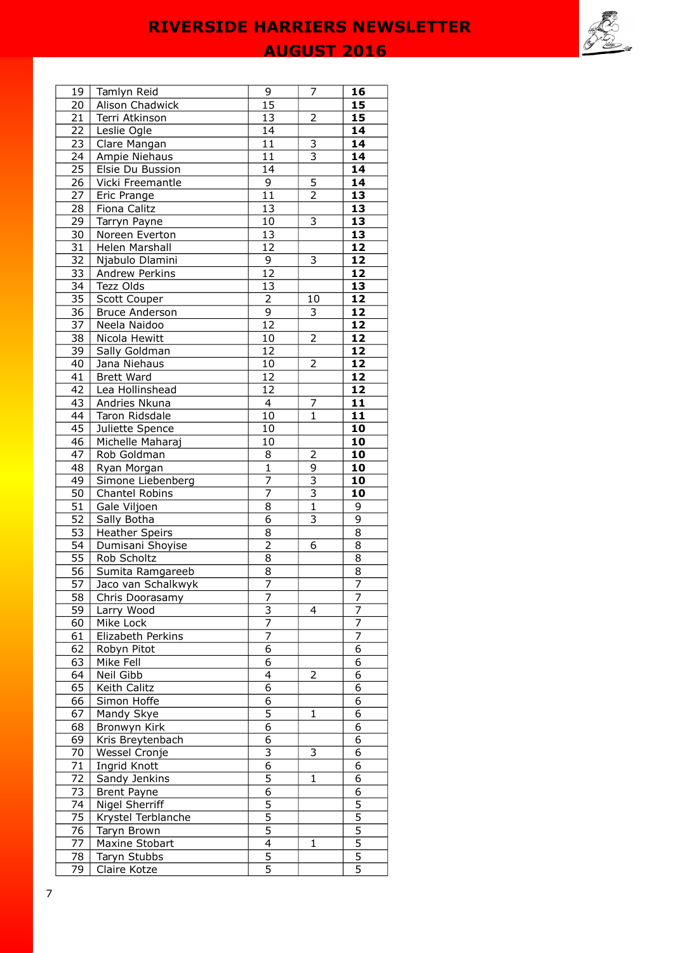**AUGUST 2016** 



| 19              | Tamlyn Reid            | 9                              | 7                         | 16              |
|-----------------|------------------------|--------------------------------|---------------------------|-----------------|
| 20              | <b>Alison Chadwick</b> | 15                             |                           | 15              |
| 21              | Terri Atkinson         | 13                             | $\overline{a}$            | 15              |
| 22              | Leslie Ogle            | 14                             |                           | 14              |
| <b>23</b>       | Clare Mangan           | 11                             |                           | 14              |
| $\overline{24}$ | Ampie Niehaus          | $\overline{11}$                | $\frac{3}{3}$             | 14              |
|                 |                        | 14                             |                           | $\overline{14}$ |
| 25              | Elsie Du Bussion       | $\overline{9}$                 |                           |                 |
| $\overline{26}$ | Vicki Freemantle       |                                | 5                         | 14              |
| 27              | Eric Prange            | $\overline{11}$                | $\overline{2}$            | 13              |
| $\overline{28}$ | Fiona Calitz           | 13                             |                           | 13              |
| 29              | Tarryn Payne           | $10\,$                         | 3                         | $\overline{13}$ |
| 30              | Noreen Everton         | 13                             |                           | $\overline{13}$ |
| 31              | Helen Marshall         | 12                             |                           | 12              |
| 32              | Njabulo Dlamini        | 9                              | 3                         | 12              |
| 33              | Andrew Perkins         | $\overline{12}$                |                           | 12              |
| 34              | Tezz Olds              | 13                             |                           | $\overline{13}$ |
| 35              | Scott Couper           | $\overline{2}$                 | 10                        | $\overline{12}$ |
| 36              | <b>Bruce Anderson</b>  | $\overline{9}$                 | 3                         | $\overline{12}$ |
| $\overline{37}$ | Neela Naidoo           | $\overline{12}$                |                           | 12              |
| $\overline{38}$ | Nicola Hewitt          | 10                             | $\overline{2}$            | 12              |
| 39              | Sally Goldman          | 12                             |                           | 12              |
| 40              | Jana Niehaus           | $10\,$                         | 2                         | 12              |
| 41              | <b>Brett Ward</b>      | 12                             |                           | 12              |
| 42              | Lea Hollinshead        | 12                             |                           | 12              |
| 43              | Andries Nkuna          | $\overline{4}$                 | 7                         | 11              |
| 44              | Taron Ridsdale         | 10                             | $\mathbf{1}$              | 11              |
| 45              | Juliette Spence        | 10                             |                           | 10              |
| 46              | Michelle Maharaj       | 10                             |                           | $\overline{10}$ |
| 47              | Rob Goldman            | 8                              | 2                         | 10              |
| 48              | Ryan Morgan            | $\overline{1}$                 | 9                         | 10              |
| 49              | Simone Liebenberg      | $\overline{7}$                 | $\overline{\overline{3}}$ | 10              |
| 50              | Chantel Robins         | $\overline{7}$                 | $\overline{\mathbf{3}}$   | 10              |
| 51              | Gale Viljoen           | 8                              | $\mathbf{1}$              | 9               |
| 52              | Sally Botha            | $\overline{6}$                 | 3                         | 9               |
| 53              | <b>Heather Speirs</b>  | 8                              |                           | 8               |
| 54              | Dumisani Shoyise       | $\overline{2}$                 | 6                         | 8               |
| 55              | Rob Scholtz            | $\overline{8}$                 |                           | 8               |
| 56              | Sumita Ramgareeb       |                                |                           |                 |
| $\overline{57}$ | Jaco van Schalkwyk     | $\frac{8}{7}$                  |                           | $\frac{8}{7}$   |
| 58              |                        |                                |                           |                 |
| 59              | Chris Doorasamy        | 7<br>$\overline{\overline{3}}$ | 4                         | 7<br>7          |
|                 | Larry Wood             | 7                              |                           | 7               |
| 60              | Mike Lock              | 7                              |                           | 7               |
| 61              | Elizabeth Perkins      |                                |                           |                 |
| 62              | Robyn Pitot            | 6                              |                           | 6               |
| 63              | Mike Fell              | 6                              |                           | 6               |
| 64              | Neil Gibb              | 4                              | 2                         | 6               |
| 65              | Keith Calitz           | $\overline{6}$                 |                           | 6               |
| 66              | Simon Hoffe            | 6                              |                           | 6               |
| 67              | Mandy Skye             | $\overline{5}$                 | $\mathbf{1}$              | 6               |
| 68              | Bronwyn Kirk           | $\overline{6}$                 |                           | $\overline{6}$  |
| 69              | Kris Breytenbach       | 6                              |                           | 6               |
| 70              | Wessel Cronje          | 3                              | 3                         | 6               |
| 71              | Ingrid Knott           | $\overline{6}$                 |                           | 6               |
| 72              | Sandy Jenkins          | $\overline{5}$                 | $\mathbf{1}$              | 6               |
| 73              | <b>Brent Payne</b>     | 6                              |                           | 6               |
| 74              | Nigel Sherriff         | $\overline{5}$                 |                           | 5               |
| 75              | Krystel Terblanche     | $\overline{5}$                 |                           | $\overline{5}$  |
| 76              | Taryn Brown            | $\overline{5}$                 |                           | $\overline{5}$  |
| 77              | Maxine Stobart         | $\overline{4}$                 | 1                         | $\overline{5}$  |
| 78              | Taryn Stubbs           | $\frac{1}{5}$                  |                           | $\overline{5}$  |
| 79              | Claire Kotze           |                                |                           | $\overline{5}$  |
|                 |                        |                                |                           |                 |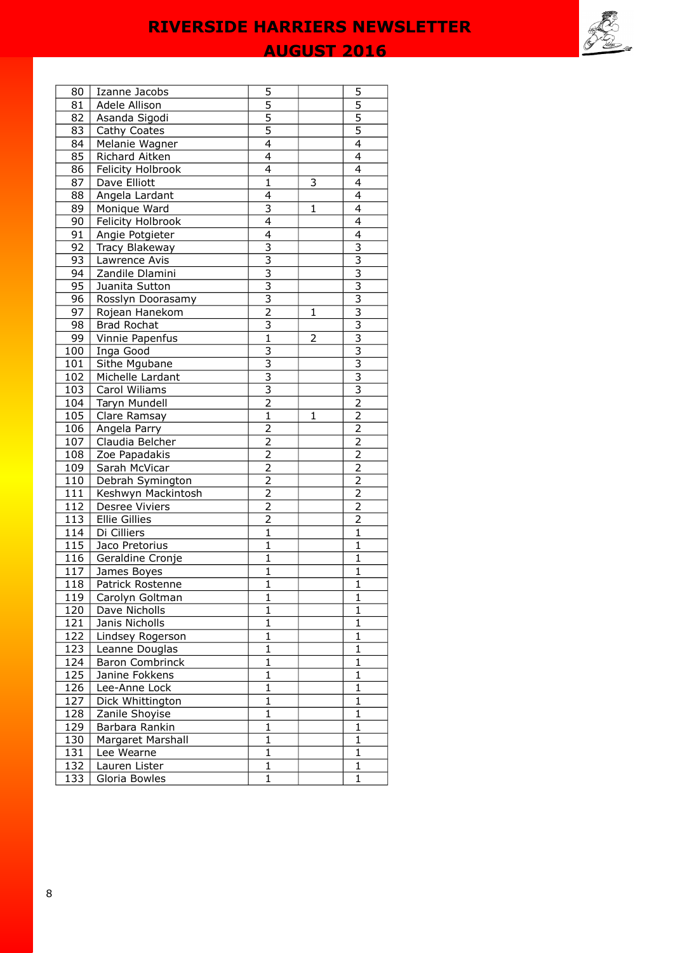## **AUGUST 2016**

| 80               | Izanne Jacobs                    | 5                              |                | 5                           |
|------------------|----------------------------------|--------------------------------|----------------|-----------------------------|
| 81               | Adele Allison                    | 5                              |                | 5                           |
| 82               | Asanda Sigodi                    | $\overline{5}$                 |                | $\overline{5}$              |
| 83               | Cathy Coates                     | $\overline{5}$                 |                | $\overline{5}$              |
| 84               | Melanie Wagner                   | $\overline{4}$                 |                | $\overline{4}$              |
| 85               | Richard Aitken                   | $\overline{4}$                 |                | $\overline{4}$              |
| 86               | Felicity Holbrook                | 4                              |                | 4                           |
| 87               | Dave Elliott                     | $\overline{1}$                 | 3              | $\overline{4}$              |
| 88               | Angela Lardant                   | 4                              |                | $\overline{4}$              |
| 89               | Monique Ward                     | $\overline{\overline{3}}$      | $\mathbf{1}$   | 4                           |
| 90               | Felicity Holbrook                | 4                              |                | 4                           |
| 91               | Angie Potgieter                  | 4                              |                | 4                           |
| 92               | Tracy Blakeway                   | $\overline{3}$                 |                | 3                           |
| 93               | Lawrence Avis                    | $\overline{3}$                 |                | 3                           |
| 94               | Zandile Dlamini                  |                                |                | $\overline{\overline{3}}$   |
| 95               | Juanita Sutton                   | $\frac{3}{3}$                  |                | $\overline{3}$              |
| 96               | Rosslyn Doorasamy                | $\bar{3}$                      |                | $\overline{\overline{3}}$   |
| 97               | Rojean Hanekom                   | $\overline{2}$                 | 1              | $\overline{\overline{3}}$   |
| 98               | <b>Brad Rochat</b>               | $\overline{\overline{3}}$      |                | $\overline{3}$              |
| 99               | Vinnie Papenfus                  | $\overline{1}$                 | $\overline{2}$ | $\overline{\overline{3}}$   |
| 100              | Inga Good                        | $\overline{\overline{3}}$      |                | $\overline{3}$              |
| 101              | Sithe Mgubane                    | 3                              |                | 3                           |
| 102              | Michelle Lardant                 | $\overline{\mathbf{3}}$        |                | $\overline{\overline{3}}$   |
| 103              | Carol Wiliams                    | $\overline{3}$                 |                | $\overline{\overline{3}}$   |
| 104              | Taryn Mundell                    | $\overline{2}$                 |                | $\overline{2}$              |
| 105              | Clare Ramsay                     | $\overline{1}$                 | 1              | $\overline{2}$              |
| 106              | Angela Parry                     |                                |                |                             |
| 107              | Claudia Belcher                  | $\frac{2}{2}$                  |                | $\frac{2}{2}$               |
| 108              | Zoe Papadakis                    | $\overline{2}$                 |                | $\overline{2}$              |
| 109              | Sarah McVicar                    | $\overline{2}$                 |                | $\overline{2}$              |
| 110              | Debrah Symington                 | $\overline{2}$                 |                | $\overline{2}$              |
| 111              | Keshwyn Mackintosh               | $\overline{2}$                 |                | $\overline{2}$              |
| 112              | Desree Viviers                   | $\overline{2}$                 |                | $\overline{2}$              |
| 113              | <b>Ellie Gillies</b>             | $\overline{2}$                 |                | 2                           |
| 114              | Di Cilliers                      | $\overline{1}$                 |                | $\overline{1}$              |
| $\overline{1}15$ | Jaco Pretorius                   | $\mathbf{1}$                   |                | 1                           |
| 116              | Geraldine Cronje                 | $\overline{1}$                 |                | $\mathbf{1}$                |
| 117              | James Boyes                      | $\overline{1}$                 |                | $\mathbf{1}$                |
| 118              | Patrick Rostenne                 | $\overline{1}$                 |                | $\overline{1}$              |
| 119              | Carolyn Goltman                  | 1                              |                | 1                           |
| 120              | Dave Nicholls                    | $\overline{1}$                 |                | $\overline{1}$              |
| 121              | Janis Nicholls                   | $\mathbf{1}$                   |                | $\mathbf{1}$                |
| 122              | Lindsey Rogerson                 | $\overline{1}$                 |                | $\mathbf{1}$                |
| 123              | Leanne Douglas                   | $\mathbf 1$                    |                | $\mathbf{1}$                |
| 124              | <b>Baron Combrinck</b>           | 1                              |                | 1                           |
|                  | Janine Fokkens                   | $\mathbf 1$                    |                | $\mathbf{1}$                |
| 125<br>126       | Lee-Anne Lock                    | $\mathbf{1}$                   |                | 1                           |
|                  |                                  | $\mathbf{1}$                   |                | $\mathbf{1}$                |
| 127              | Dick Whittington                 | $\overline{1}$                 |                | $\overline{1}$              |
| 128              | Zanile Shoyise<br>Barbara Rankin | $\overline{1}$                 |                | 1                           |
| <u>129</u>       |                                  |                                |                |                             |
| 130              | Margaret Marshall                | $\mathbf{1}$<br>$\overline{1}$ |                | $\mathbf{1}$                |
| 131              | Lee Wearne                       |                                |                | 1                           |
| 132              | Lauren Lister                    | $\mathbf{1}$<br>$\mathbf{1}$   |                | $\mathbf{1}$<br>$\mathbf 1$ |
| 133              | Gloria Bowles                    |                                |                |                             |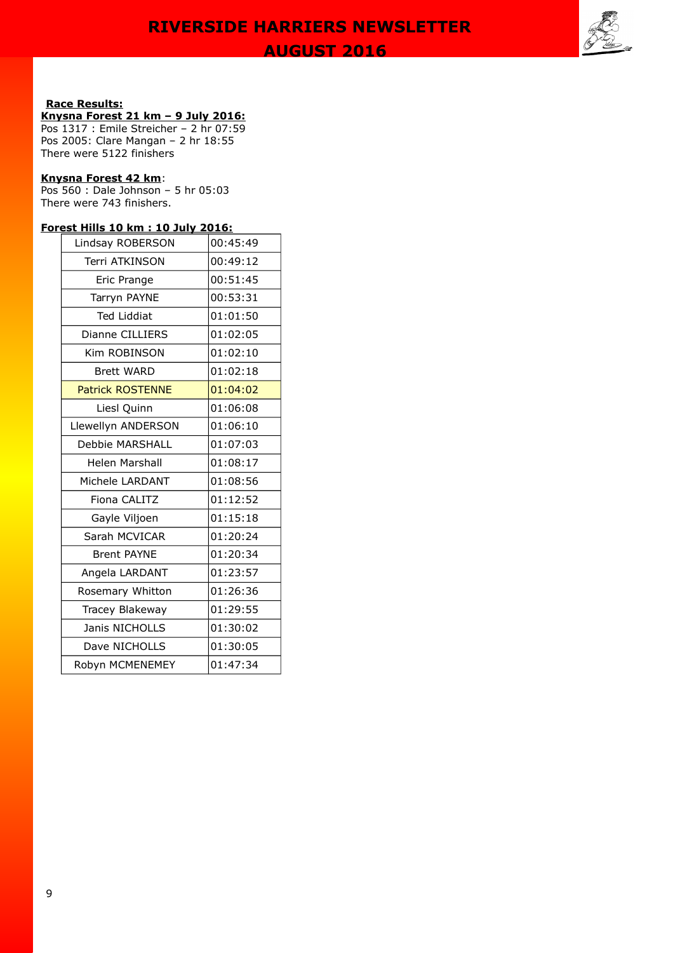**AUGUST 2016** 



### **Race Results:**

### **Knysna Forest 21 km – 9 July 2016:**

Pos 1317 : Emile Streicher – 2 hr 07:59 Pos 2005: Clare Mangan – 2 hr 18:55 There were 5122 finishers

#### **Knysna Forest 42 km**:

Pos 560 : Dale Johnson – 5 hr 05:03 There were 743 finishers.

### **Forest Hills 10 km : 10 July 2016:**

| Lindsay ROBERSON        | 00:45:49 |
|-------------------------|----------|
| Terri ATKINSON          | 00:49:12 |
| Eric Prange             | 00:51:45 |
| Tarryn PAYNE            | 00:53:31 |
| <b>Ted Liddiat</b>      | 01:01:50 |
| Dianne CILLIERS         | 01:02:05 |
| Kim ROBINSON            | 01:02:10 |
| <b>Brett WARD</b>       | 01:02:18 |
| <b>Patrick ROSTENNE</b> | 01:04:02 |
| Liesl Quinn             | 01:06:08 |
| Llewellyn ANDERSON      | 01:06:10 |
| Debbie MARSHALL         | 01:07:03 |
| Helen Marshall          | 01:08:17 |
| Michele LARDANT         | 01:08:56 |
| Fiona CALITZ            | 01:12:52 |
| Gayle Viljoen           | 01:15:18 |
| Sarah MCVICAR           | 01:20:24 |
| <b>Brent PAYNE</b>      | 01:20:34 |
| Angela LARDANT          | 01:23:57 |
| Rosemary Whitton        | 01:26:36 |
| Tracey Blakeway         | 01:29:55 |
| Janis NICHOLLS          | 01:30:02 |
| Dave NICHOLLS           | 01:30:05 |
| Robyn MCMENEMEY         | 01:47:34 |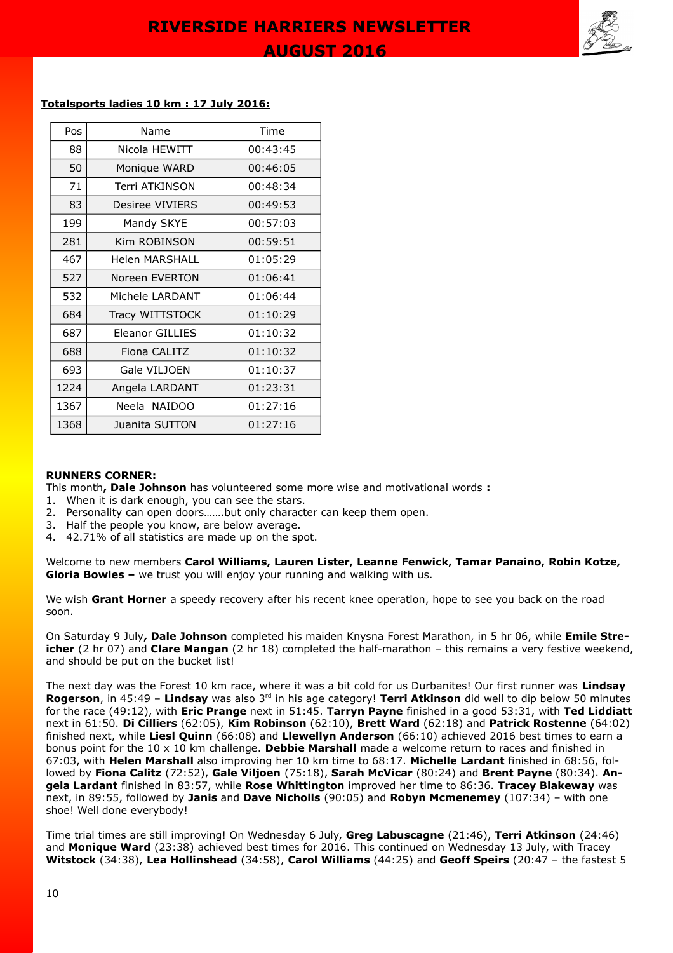

#### **Totalsports ladies 10 km : 17 July 2016:**

| Pos                    | Name                   | Time     |
|------------------------|------------------------|----------|
| 88                     | Nicola HEWITT          | 00:43:45 |
| 50                     | Monique WARD           | 00:46:05 |
| 71                     | Terri ATKINSON         | 00:48:34 |
| 83                     | Desiree VIVIERS        | 00:49:53 |
| 199                    | Mandy SKYE             | 00:57:03 |
| 281                    | Kim ROBINSON           | 00:59:51 |
| 467                    | Helen MARSHALL         | 01:05:29 |
| 527                    | Noreen EVERTON         | 01:06:41 |
| 532<br>Michele LARDANT |                        | 01:06:44 |
| 684<br>Tracy WITTSTOCK |                        | 01:10:29 |
| 687                    | <b>Eleanor GILLIES</b> | 01:10:32 |
| 688                    | Fiona CALITZ           | 01:10:32 |
| 693                    | Gale VILJOEN           | 01:10:37 |
| 1224                   | Angela LARDANT         | 01:23:31 |
| 1367                   | Neela NAIDOO           | 01:27:16 |
| 1368                   | Juanita SUTTON         | 01:27:16 |

#### **RUNNERS CORNER:**

This month**, Dale Johnson** has volunteered some more wise and motivational words **:** 

- 1. When it is dark enough, you can see the stars.
- 2. Personality can open doors…….but only character can keep them open.
- 3. Half the people you know, are below average.
- 4. 42.71% of all statistics are made up on the spot.

Welcome to new members **Carol Williams, Lauren Lister, Leanne Fenwick, Tamar Panaino, Robin Kotze, Gloria Bowles –** we trust you will enjoy your running and walking with us.

We wish **Grant Horner** a speedy recovery after his recent knee operation, hope to see you back on the road soon.

On Saturday 9 July**, Dale Johnson** completed his maiden Knysna Forest Marathon, in 5 hr 06, while **Emile Streicher** (2 hr 07) and **Clare Mangan** (2 hr 18) completed the half-marathon – this remains a very festive weekend, and should be put on the bucket list!

The next day was the Forest 10 km race, where it was a bit cold for us Durbanites! Our first runner was **Lindsay Rogerson**, in 45:49 – **Lindsay** was also 3rd in his age category! **Terri Atkinson** did well to dip below 50 minutes for the race (49:12), with **Eric Prange** next in 51:45. **Tarryn Payne** finished in a good 53:31, with **Ted Liddiatt** next in 61:50. **Di Cilliers** (62:05), **Kim Robinson** (62:10), **Brett Ward** (62:18) and **Patrick Rostenne** (64:02) finished next, while **Liesl Quinn** (66:08) and **Llewellyn Anderson** (66:10) achieved 2016 best times to earn a bonus point for the 10 x 10 km challenge. **Debbie Marshall** made a welcome return to races and finished in 67:03, with **Helen Marshall** also improving her 10 km time to 68:17. **Michelle Lardant** finished in 68:56, followed by **Fiona Calitz** (72:52), **Gale Viljoen** (75:18), **Sarah McVicar** (80:24) and **Brent Payne** (80:34). **Angela Lardant** finished in 83:57, while **Rose Whittington** improved her time to 86:36. **Tracey Blakeway** was next, in 89:55, followed by **Janis** and **Dave Nicholls** (90:05) and **Robyn Mcmenemey** (107:34) – with one shoe! Well done everybody!

Time trial times are still improving! On Wednesday 6 July, **Greg Labuscagne** (21:46), **Terri Atkinson** (24:46) and **Monique Ward** (23:38) achieved best times for 2016. This continued on Wednesday 13 July, with Tracey **Witstock** (34:38), **Lea Hollinshead** (34:58), **Carol Williams** (44:25) and **Geoff Speirs** (20:47 – the fastest 5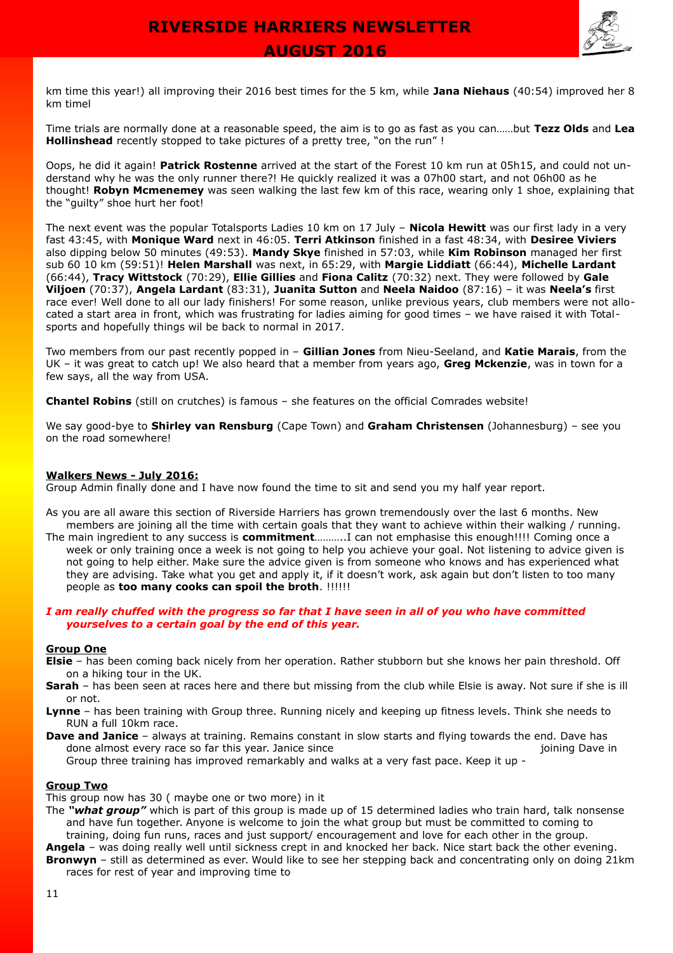

km time this year!) all improving their 2016 best times for the 5 km, while **Jana Niehaus** (40:54) improved her 8 km timel

Time trials are normally done at a reasonable speed, the aim is to go as fast as you can……but **Tezz Olds** and **Lea Hollinshead** recently stopped to take pictures of a pretty tree, "on the run" !

Oops, he did it again! **Patrick Rostenne** arrived at the start of the Forest 10 km run at 05h15, and could not understand why he was the only runner there?! He quickly realized it was a 07h00 start, and not 06h00 as he thought! **Robyn Mcmenemey** was seen walking the last few km of this race, wearing only 1 shoe, explaining that the "guilty" shoe hurt her foot!

The next event was the popular Totalsports Ladies 10 km on 17 July – **Nicola Hewitt** was our first lady in a very fast 43:45, with **Monique Ward** next in 46:05. **Terri Atkinson** finished in a fast 48:34, with **Desiree Viviers** also dipping below 50 minutes (49:53). **Mandy Skye** finished in 57:03, while **Kim Robinson** managed her first sub 60 10 km (59:51)! **Helen Marshall** was next, in 65:29, with **Margie Liddiatt** (66:44), **Michelle Lardant** (66:44), **Tracy Wittstock** (70:29), **Ellie Gillies** and **Fiona Calitz** (70:32) next. They were followed by **Gale Viljoen** (70:37), **Angela Lardant** (83:31), **Juanita Sutton** and **Neela Naidoo** (87:16) – it was **Neela's** first race ever! Well done to all our lady finishers! For some reason, unlike previous years, club members were not allocated a start area in front, which was frustrating for ladies aiming for good times – we have raised it with Totalsports and hopefully things wil be back to normal in 2017.

Two members from our past recently popped in – **Gillian Jones** from Nieu-Seeland, and **Katie Marais**, from the UK – it was great to catch up! We also heard that a member from years ago, **Greg Mckenzie**, was in town for a few says, all the way from USA.

**Chantel Robins** (still on crutches) is famous – she features on the official Comrades website!

We say good-bye to **Shirley van Rensburg** (Cape Town) and **Graham Christensen** (Johannesburg) – see you on the road somewhere!

#### **Walkers News - July 2016:**

Group Admin finally done and I have now found the time to sit and send you my half year report.

- As you are all aware this section of Riverside Harriers has grown tremendously over the last 6 months. New members are joining all the time with certain goals that they want to achieve within their walking / running.
- The main ingredient to any success is **commitment**………..I can not emphasise this enough!!!! Coming once a week or only training once a week is not going to help you achieve your goal. Not listening to advice given is not going to help either. Make sure the advice given is from someone who knows and has experienced what they are advising. Take what you get and apply it, if it doesn't work, ask again but don't listen to too many people as **too many cooks can spoil the broth**. !!!!!!

#### *I am really chuffed with the progress so far that I have seen in all of you who have committed yourselves to a certain goal by the end of this year.*

#### **Group One**

- **Elsie** has been coming back nicely from her operation. Rather stubborn but she knows her pain threshold. Off on a hiking tour in the UK.
- **Sarah** has been seen at races here and there but missing from the club while Elsie is away. Not sure if she is ill or not.
- **Lynne** has been training with Group three. Running nicely and keeping up fitness levels. Think she needs to RUN a full 10km race.
- **Dave and Janice** always at training. Remains constant in slow starts and flying towards the end. Dave has done almost every race so far this year. Janice since in the state of the state of the joining Dave in Group three training has improved remarkably and walks at a very fast pace. Keep it up -

#### **Group Two**

This group now has 30 ( maybe one or two more) in it

- The *"what group"* which is part of this group is made up of 15 determined ladies who train hard, talk nonsense and have fun together. Anyone is welcome to join the what group but must be committed to coming to training, doing fun runs, races and just support/ encouragement and love for each other in the group.
- **Angela** was doing really well until sickness crept in and knocked her back. Nice start back the other evening. **Bronwyn** – still as determined as ever. Would like to see her stepping back and concentrating only on doing 21km races for rest of year and improving time to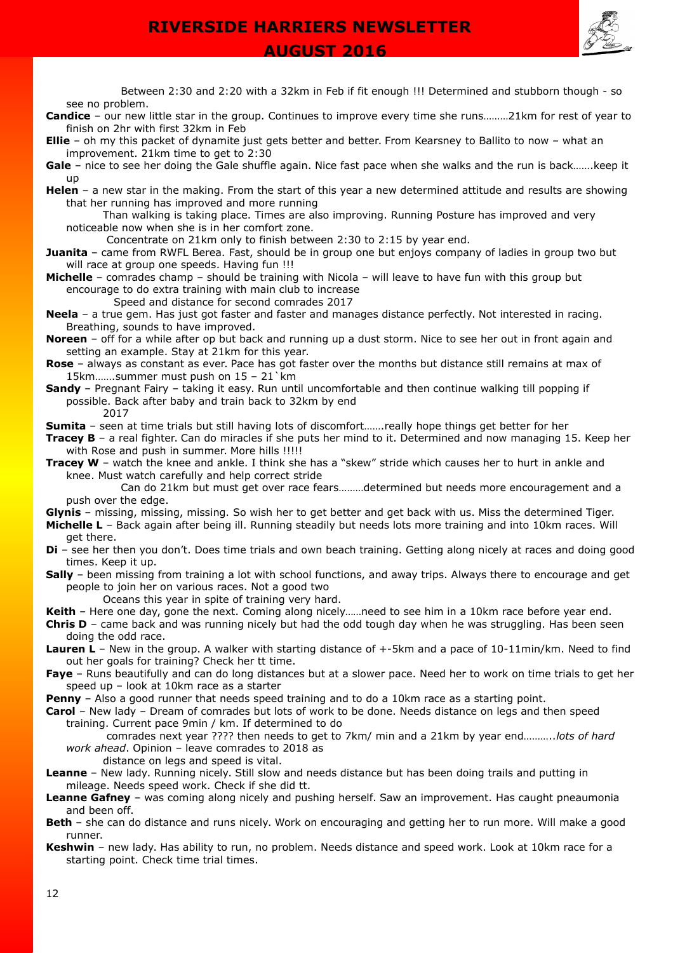

 **AUGUST 2016** 

Between 2:30 and 2:20 with a 32km in Feb if fit enough !!! Determined and stubborn though - so see no problem.

- **Candice** our new little star in the group. Continues to improve every time she runs………21km for rest of year to finish on 2hr with first 32km in Feb
- **Ellie** oh my this packet of dynamite just gets better and better. From Kearsney to Ballito to now what an improvement. 21km time to get to 2:30

**Gale** – nice to see her doing the Gale shuffle again. Nice fast pace when she walks and the run is back…….keep it up

- **Helen** a new star in the making. From the start of this year a new determined attitude and results are showing that her running has improved and more running
	- Than walking is taking place. Times are also improving. Running Posture has improved and very noticeable now when she is in her comfort zone.
		- Concentrate on 21km only to finish between 2:30 to 2:15 by year end.
- **Juanita** came from RWFL Berea. Fast, should be in group one but enjoys company of ladies in group two but will race at group one speeds. Having fun !!!
- **Michelle** comrades champ should be training with Nicola will leave to have fun with this group but encourage to do extra training with main club to increase

Speed and distance for second comrades 2017

- **Neela** a true gem. Has just got faster and faster and manages distance perfectly. Not interested in racing. Breathing, sounds to have improved.
- **Noreen** off for a while after op but back and running up a dust storm. Nice to see her out in front again and setting an example. Stay at 21km for this year.
- **Rose** always as constant as ever. Pace has got faster over the months but distance still remains at max of 15km…….summer must push on 15 – 21`km
- **Sandy** Pregnant Fairy taking it easy. Run until uncomfortable and then continue walking till popping if possible. Back after baby and train back to 32km by end

2017 **Sumita** – seen at time trials but still having lots of discomfort.......really hope things get better for her

- **Tracey B** a real fighter. Can do miracles if she puts her mind to it. Determined and now managing 15. Keep her with Rose and push in summer. More hills !!!!!
- **Tracey W** watch the knee and ankle. I think she has a "skew" stride which causes her to hurt in ankle and knee. Must watch carefully and help correct stride

Can do 21km but must get over race fears………determined but needs more encouragement and a push over the edge.

**Glynis** – missing, missing, missing. So wish her to get better and get back with us. Miss the determined Tiger.

**Michelle L** – Back again after being ill. Running steadily but needs lots more training and into 10km races. Will get there.

- **Di** see her then you don't. Does time trials and own beach training. Getting along nicely at races and doing good times. Keep it up.
- **Sally** been missing from training a lot with school functions, and away trips. Always there to encourage and get people to join her on various races. Not a good two
	- Oceans this year in spite of training very hard.
- **Keith** Here one day, gone the next. Coming along nicely……need to see him in a 10km race before year end.

**Chris D** – came back and was running nicely but had the odd tough day when he was struggling. Has been seen doing the odd race.

- **Lauren L** New in the group. A walker with starting distance of +-5km and a pace of 10-11min/km. Need to find out her goals for training? Check her tt time.
- **Faye** Runs beautifully and can do long distances but at a slower pace. Need her to work on time trials to get her speed up – look at 10km race as a starter
- **Penny**  Also a good runner that needs speed training and to do a 10km race as a starting point.
- **Carol** New lady Dream of comrades but lots of work to be done. Needs distance on legs and then speed training. Current pace 9min / km. If determined to do

comrades next year ???? then needs to get to 7km/ min and a 21km by year end………..*lots of hard work ahead*. Opinion – leave comrades to 2018 as

distance on legs and speed is vital.

- **Leanne** New lady. Running nicely. Still slow and needs distance but has been doing trails and putting in mileage. Needs speed work. Check if she did tt.
- **Leanne Gafney** was coming along nicely and pushing herself. Saw an improvement. Has caught pneaumonia and been off.
- **Beth**  she can do distance and runs nicely. Work on encouraging and getting her to run more. Will make a good runner.
- **Keshwin** new lady. Has ability to run, no problem. Needs distance and speed work. Look at 10km race for a starting point. Check time trial times.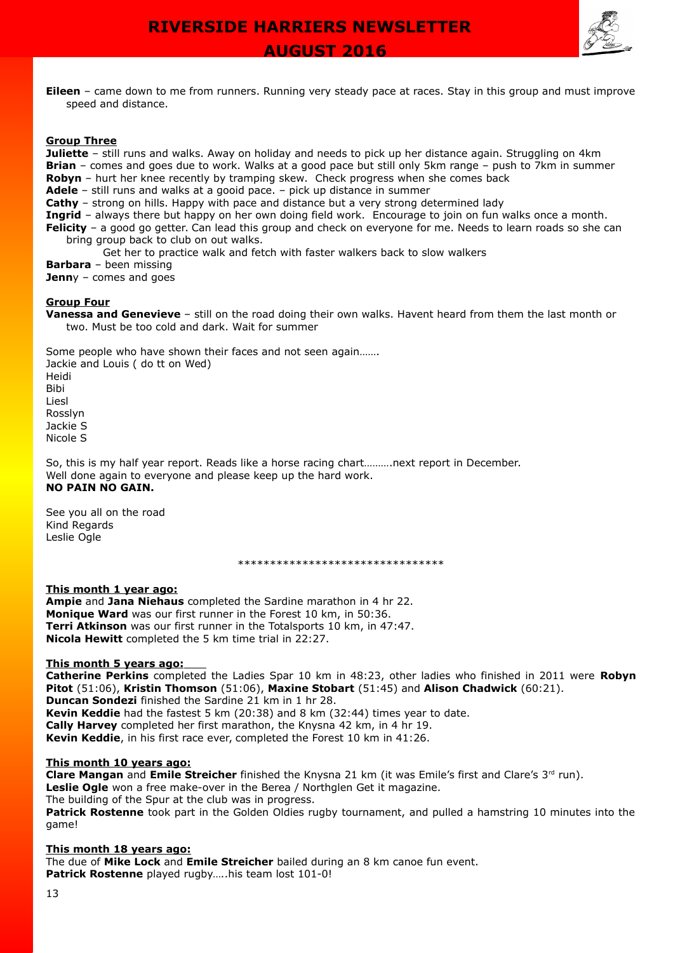

 **AUGUST 2016** 

**Eileen** – came down to me from runners. Running very steady pace at races. Stay in this group and must improve speed and distance.

#### **Group Three**

**Juliette** – still runs and walks. Away on holiday and needs to pick up her distance again. Struggling on 4km **Brian** – comes and goes due to work. Walks at a good pace but still only 5km range – push to 7km in summer **Robyn** – hurt her knee recently by tramping skew. Check progress when she comes back

**Adele** – still runs and walks at a gooid pace. – pick up distance in summer

**Cathy** – strong on hills. Happy with pace and distance but a very strong determined lady

**Ingrid** – always there but happy on her own doing field work. Encourage to join on fun walks once a month.

**Felicity** – a good go getter. Can lead this group and check on everyone for me. Needs to learn roads so she can bring group back to club on out walks.

Get her to practice walk and fetch with faster walkers back to slow walkers

**Barbara** – been missing

**Jenn**y – comes and goes

#### **Group Four**

**Vanessa and Genevieve** – still on the road doing their own walks. Havent heard from them the last month or two. Must be too cold and dark. Wait for summer

Some people who have shown their faces and not seen again……. Jackie and Louis ( do tt on Wed) Heidi Bibi Liesl Rosslyn Jackie S Nicole S

So, this is my half year report. Reads like a horse racing chart……….next report in December. Well done again to everyone and please keep up the hard work. **NO PAIN NO GAIN.**

See you all on the road Kind Regards Leslie Ogle

\*\*\*\*\*\*\*\*\*\*\*\*\*\*\*\*\*\*\*\*\*\*\*\*\*\*\*\*\*\*\*\*

#### **This month 1 year ago:**

**Ampie** and **Jana Niehaus** completed the Sardine marathon in 4 hr 22. **Monique Ward** was our first runner in the Forest 10 km, in 50:36. **Terri Atkinson** was our first runner in the Totalsports 10 km, in 47:47. **Nicola Hewitt** completed the 5 km time trial in 22:27.

#### **This month 5 years ago:**

**Catherine Perkins** completed the Ladies Spar 10 km in 48:23, other ladies who finished in 2011 were **Robyn Pitot** (51:06), **Kristin Thomson** (51:06), **Maxine Stobart** (51:45) and **Alison Chadwick** (60:21). **Duncan Sondezi** finished the Sardine 21 km in 1 hr 28. **Kevin Keddie** had the fastest 5 km (20:38) and 8 km (32:44) times year to date. **Cally Harvey** completed her first marathon, the Knysna 42 km, in 4 hr 19. **Kevin Keddie**, in his first race ever, completed the Forest 10 km in 41:26.

#### **This month 10 years ago:**

**Clare Mangan** and **Emile Streicher** finished the Knysna 21 km (it was Emile's first and Clare's 3<sup>rd</sup> run). **Leslie Ogle** won a free make-over in the Berea / Northglen Get it magazine. The building of the Spur at the club was in progress. **Patrick Rostenne** took part in the Golden Oldies rugby tournament, and pulled a hamstring 10 minutes into the game!

#### **This month 18 years ago:**

The due of **Mike Lock** and **Emile Streicher** bailed during an 8 km canoe fun event. **Patrick Rostenne** played rugby…..his team lost 101-0!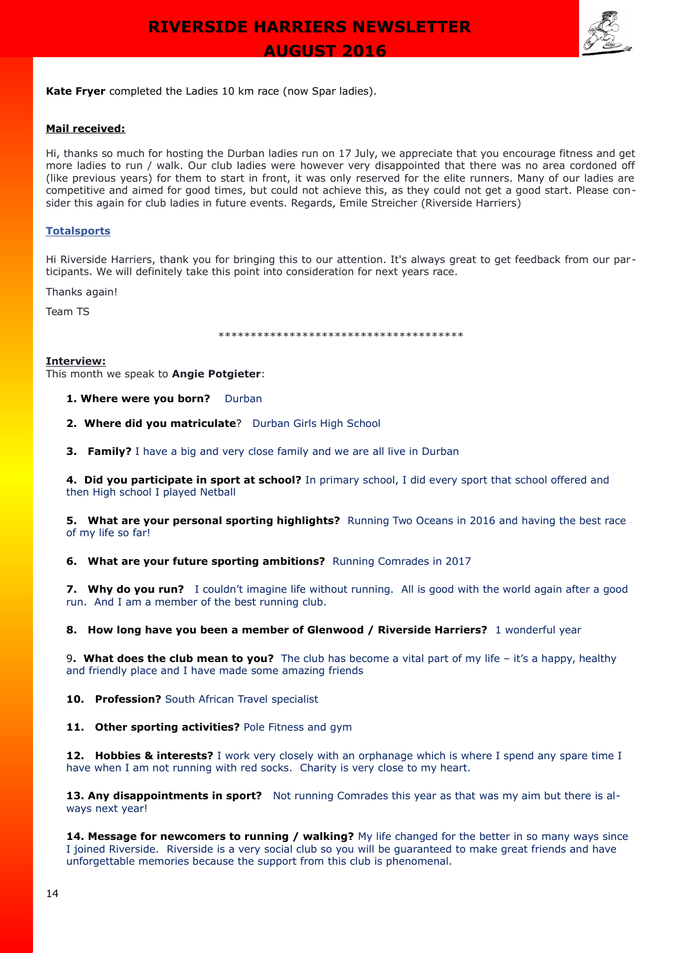

**Kate Fryer** completed the Ladies 10 km race (now Spar ladies).

#### **Mail received:**

Hi, thanks so much for hosting the Durban ladies run on 17 July, we appreciate that you encourage fitness and get more ladies to run / walk. Our club ladies were however very disappointed that there was no area cordoned off (like previous years) for them to start in front, it was only reserved for the elite runners. Many of our ladies are competitive and aimed for good times, but could not achieve this, as they could not get a good start. Please consider this again for club ladies in future events. Regards, Emile Streicher (Riverside Harriers)

#### **[Totalsports](https://www.facebook.com/totalsports.southafrica/)**

Hi Riverside Harriers, thank you for bringing this to our attention. It's always great to get feedback from our participants. We will definitely take this point into consideration for next years race.

Thanks again!

Team TS

\*\*\*\*\*\*\*\*\*\*\*\*\*\*\*\*\*\*\*\*\*\*\*\*\*\*\*\*\*\*\*\*\*\*\*\*\*\*

#### **Interview:**

This month we speak to **Angie Potgieter**:

1. Where were you born? Durban

2. Where did you matriculate? Durban Girls High School

**3. Family?** I have a big and very close family and we are all live in Durban

**4. Did you participate in sport at school?** In primary school, I did every sport that school offered and then High school I played Netball

**5. What are your personal sporting highlights?** Running Two Oceans in 2016 and having the best race of my life so far!

**6. What are your future sporting ambitions?** Running Comrades in 2017

**7. Why do you run?** I couldn't imagine life without running. All is good with the world again after a good run. And I am a member of the best running club.

**8. How long have you been a member of Glenwood / Riverside Harriers?** 1 wonderful year

9**. What does the club mean to you?** The club has become a vital part of my life – it's a happy, healthy and friendly place and I have made some amazing friends

10. Profession? South African Travel specialist

11. Other sporting activities? Pole Fitness and gym

**12. Hobbies & interests?** I work very closely with an orphanage which is where I spend any spare time I have when I am not running with red socks. Charity is very close to my heart.

13. Any disappointments in sport? Not running Comrades this year as that was my aim but there is always next year!

**14. Message for newcomers to running / walking?** My life changed for the better in so many ways since I joined Riverside. Riverside is a very social club so you will be guaranteed to make great friends and have unforgettable memories because the support from this club is phenomenal.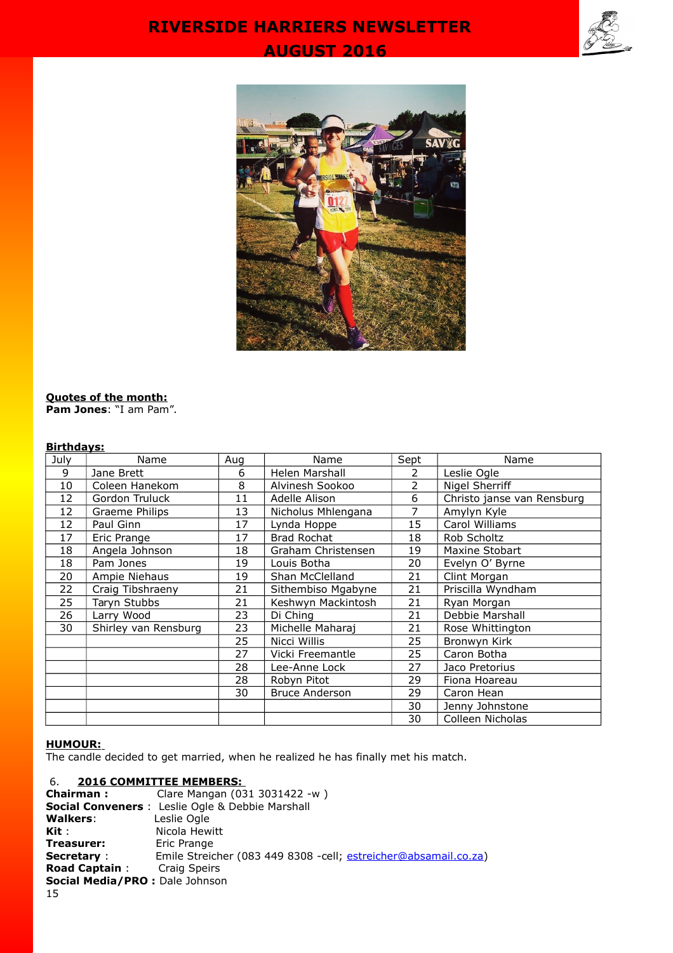# **AUGUST 2016 RIVERSIDE HARRIERS NEWSLETTER**





#### **Quotes of the month: Pam Jones**: "I am Pam".

### **Birthdays:**

| July | Name                 | Aug | Name                  | Sept           | Name                       |
|------|----------------------|-----|-----------------------|----------------|----------------------------|
| 9    | Jane Brett           | 6   | Helen Marshall        | 2              | Leslie Ogle                |
| 10   | Coleen Hanekom       | 8   | Alvinesh Sookoo       | $\overline{2}$ | Nigel Sherriff             |
| 12   | Gordon Truluck       | 11  | Adelle Alison         | 6              | Christo janse van Rensburg |
| 12   | Graeme Philips       | 13  | Nicholus Mhlengana    | 7              | Amylyn Kyle                |
| 12   | Paul Ginn            | 17  | Lynda Hoppe           | 15             | Carol Williams             |
| 17   | Eric Prange          | 17  | <b>Brad Rochat</b>    | 18             | Rob Scholtz                |
| 18   | Angela Johnson       | 18  | Graham Christensen    | 19             | Maxine Stobart             |
| 18   | Pam Jones            | 19  | Louis Botha           | 20             | Evelyn O' Byrne            |
| 20   | Ampie Niehaus        | 19  | Shan McClelland       | 21             | Clint Morgan               |
| 22   | Craig Tibshraeny     | 21  | Sithembiso Mgabyne    | 21             | Priscilla Wyndham          |
| 25   | Taryn Stubbs         | 21  | Keshwyn Mackintosh    | 21             | Ryan Morgan                |
| 26   | Larry Wood           | 23  | Di Ching              | 21             | Debbie Marshall            |
| 30   | Shirley van Rensburg | 23  | Michelle Maharaj      | 21             | Rose Whittington           |
|      |                      | 25  | Nicci Willis          | 25             | Bronwyn Kirk               |
|      |                      | 27  | Vicki Freemantle      | 25             | Caron Botha                |
|      |                      | 28  | Lee-Anne Lock         | 27             | Jaco Pretorius             |
|      |                      | 28  | Robyn Pitot           | 29             | Fiona Hoareau              |
|      |                      | 30  | <b>Bruce Anderson</b> | 29             | Caron Hean                 |
|      |                      |     |                       | 30             | Jenny Johnstone            |
|      |                      |     |                       | 30             | Colleen Nicholas           |

#### **HUMOUR:**

The candle decided to get married, when he realized he has finally met his match.

### 6. **2016 COMMITTEE MEMBERS:**

| Chairman :                            | Clare Mangan (031 3031422 -w)                                    |
|---------------------------------------|------------------------------------------------------------------|
|                                       | <b>Social Conveners</b> : Leslie Ogle & Debbie Marshall          |
| <b>Walkers:</b>                       | Leslie Ogle                                                      |
| Kit :                                 | Nicola Hewitt                                                    |
| Treasurer:                            | Eric Prange                                                      |
| <b>Secretary :</b>                    | Emile Streicher (083 449 8308 - cell; estreicher@absamail.co.za) |
| <b>Road Captain:</b> Craig Speirs     |                                                                  |
| <b>Social Media/PRO:</b> Dale Johnson |                                                                  |
| 15.                                   |                                                                  |

15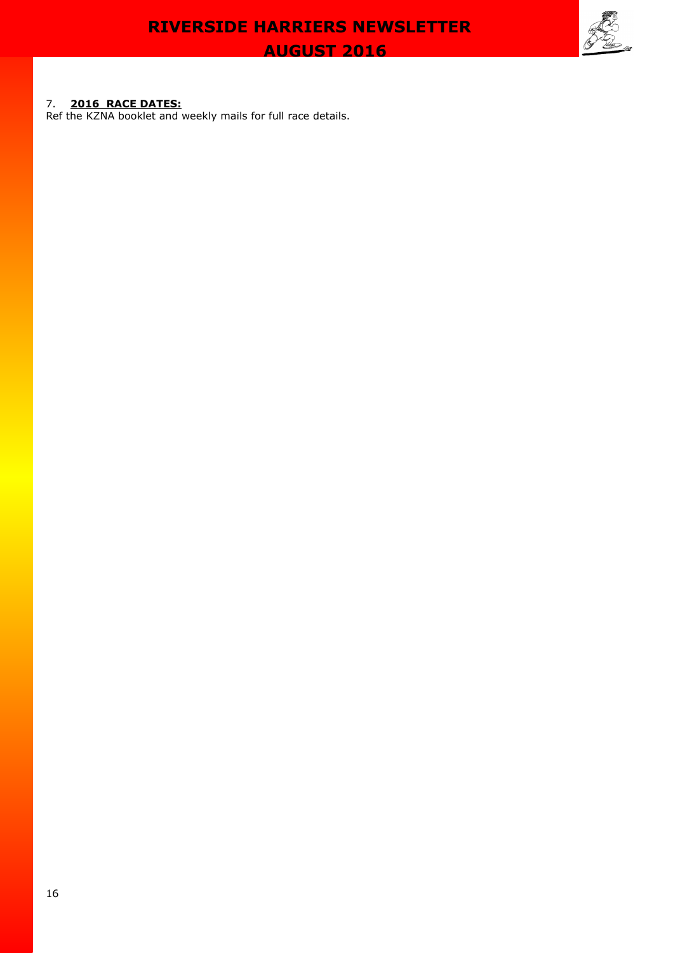#### 7. **2016 RACE DATES:**

Ref the KZNA booklet and weekly mails for full race details.